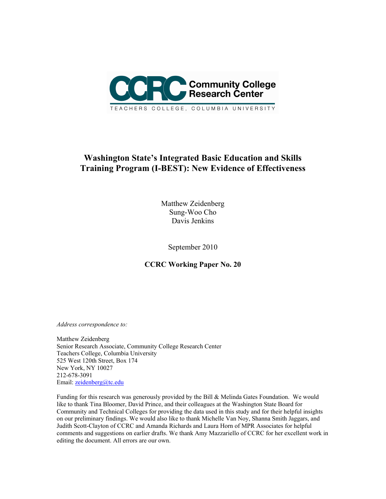

# **Washington State's Integrated Basic Education and Skills Training Program (I-BEST): New Evidence of Effectiveness**

Matthew Zeidenberg Sung-Woo Cho Davis Jenkins

September 2010

**CCRC Working Paper No. 20** 

*Address correspondence to:* 

Matthew Zeidenberg Senior Research Associate, Community College Research Center Teachers College, Columbia University 525 West 120th Street, Box 174 New York, NY 10027 212-678-3091 Email: zeidenberg@tc.edu

Funding for this research was generously provided by the Bill & Melinda Gates Foundation. We would like to thank Tina Bloomer, David Prince, and their colleagues at the Washington State Board for Community and Technical Colleges for providing the data used in this study and for their helpful insights on our preliminary findings. We would also like to thank Michelle Van Noy, Shanna Smith Jaggars, and Judith Scott-Clayton of CCRC and Amanda Richards and Laura Horn of MPR Associates for helpful comments and suggestions on earlier drafts. We thank Amy Mazzariello of CCRC for her excellent work in editing the document. All errors are our own.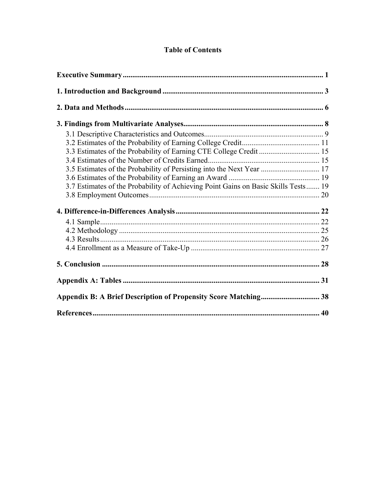# **Table of Contents**

| 3.3 Estimates of the Probability of Earning CTE College Credit  15                 |  |
|------------------------------------------------------------------------------------|--|
|                                                                                    |  |
| 3.5 Estimates of the Probability of Persisting into the Next Year  17              |  |
|                                                                                    |  |
| 3.7 Estimates of the Probability of Achieving Point Gains on Basic Skills Tests 19 |  |
|                                                                                    |  |
|                                                                                    |  |
|                                                                                    |  |
|                                                                                    |  |
|                                                                                    |  |
|                                                                                    |  |
|                                                                                    |  |
|                                                                                    |  |
|                                                                                    |  |
|                                                                                    |  |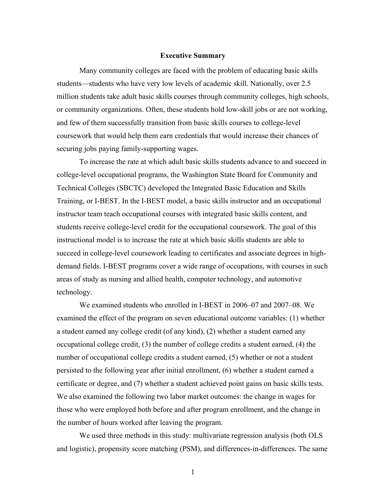#### **Executive Summary**

Many community colleges are faced with the problem of educating basic skills students—students who have very low levels of academic skill. Nationally, over 2.5 million students take adult basic skills courses through community colleges, high schools, or community organizations. Often, these students hold low-skill jobs or are not working, and few of them successfully transition from basic skills courses to college-level coursework that would help them earn credentials that would increase their chances of securing jobs paying family-supporting wages.

To increase the rate at which adult basic skills students advance to and succeed in college-level occupational programs, the Washington State Board for Community and Technical Colleges (SBCTC) developed the Integrated Basic Education and Skills Training, or I-BEST. In the I-BEST model, a basic skills instructor and an occupational instructor team teach occupational courses with integrated basic skills content, and students receive college-level credit for the occupational coursework. The goal of this instructional model is to increase the rate at which basic skills students are able to succeed in college-level coursework leading to certificates and associate degrees in highdemand fields. I-BEST programs cover a wide range of occupations, with courses in such areas of study as nursing and allied health, computer technology, and automotive technology.

We examined students who enrolled in I-BEST in 2006–07 and 2007–08. We examined the effect of the program on seven educational outcome variables: (1) whether a student earned any college credit (of any kind), (2) whether a student earned any occupational college credit, (3) the number of college credits a student earned, (4) the number of occupational college credits a student earned, (5) whether or not a student persisted to the following year after initial enrollment, (6) whether a student earned a certificate or degree, and (7) whether a student achieved point gains on basic skills tests. We also examined the following two labor market outcomes: the change in wages for those who were employed both before and after program enrollment, and the change in the number of hours worked after leaving the program.

We used three methods in this study: multivariate regression analysis (both OLS and logistic), propensity score matching (PSM), and differences-in-differences. The same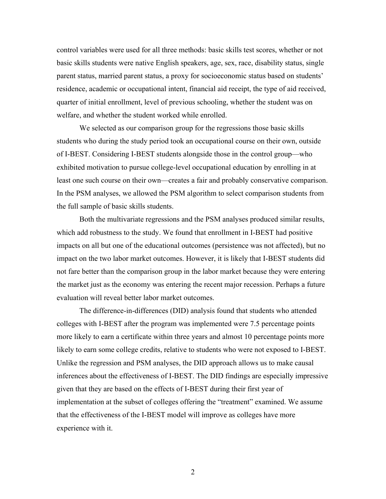control variables were used for all three methods: basic skills test scores, whether or not basic skills students were native English speakers, age, sex, race, disability status, single parent status, married parent status, a proxy for socioeconomic status based on students' residence, academic or occupational intent, financial aid receipt, the type of aid received, quarter of initial enrollment, level of previous schooling, whether the student was on welfare, and whether the student worked while enrolled.

We selected as our comparison group for the regressions those basic skills students who during the study period took an occupational course on their own, outside of I-BEST. Considering I-BEST students alongside those in the control group—who exhibited motivation to pursue college-level occupational education by enrolling in at least one such course on their own—creates a fair and probably conservative comparison. In the PSM analyses, we allowed the PSM algorithm to select comparison students from the full sample of basic skills students.

Both the multivariate regressions and the PSM analyses produced similar results, which add robustness to the study. We found that enrollment in I-BEST had positive impacts on all but one of the educational outcomes (persistence was not affected), but no impact on the two labor market outcomes. However, it is likely that I-BEST students did not fare better than the comparison group in the labor market because they were entering the market just as the economy was entering the recent major recession. Perhaps a future evaluation will reveal better labor market outcomes.

The difference-in-differences (DID) analysis found that students who attended colleges with I-BEST after the program was implemented were 7.5 percentage points more likely to earn a certificate within three years and almost 10 percentage points more likely to earn some college credits, relative to students who were not exposed to I-BEST. Unlike the regression and PSM analyses, the DID approach allows us to make causal inferences about the effectiveness of I-BEST. The DID findings are especially impressive given that they are based on the effects of I-BEST during their first year of implementation at the subset of colleges offering the "treatment" examined. We assume that the effectiveness of the I-BEST model will improve as colleges have more experience with it.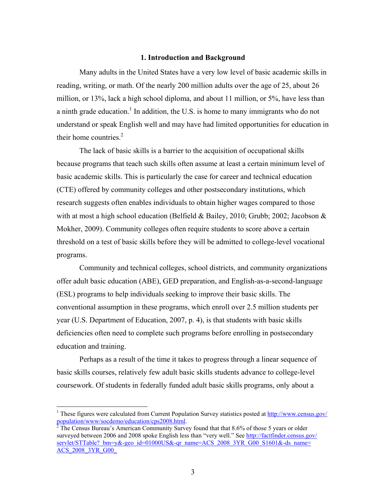#### **1. Introduction and Background**

Many adults in the United States have a very low level of basic academic skills in reading, writing, or math. Of the nearly 200 million adults over the age of 25, about 26 million, or 13%, lack a high school diploma, and about 11 million, or 5%, have less than a ninth grade education.<sup>1</sup> In addition, the U.S. is home to many immigrants who do not understand or speak English well and may have had limited opportunities for education in their home countries. $2$ 

The lack of basic skills is a barrier to the acquisition of occupational skills because programs that teach such skills often assume at least a certain minimum level of basic academic skills. This is particularly the case for career and technical education (CTE) offered by community colleges and other postsecondary institutions, which research suggests often enables individuals to obtain higher wages compared to those with at most a high school education (Belfield & Bailey, 2010; Grubb; 2002; Jacobson & Mokher, 2009). Community colleges often require students to score above a certain threshold on a test of basic skills before they will be admitted to college-level vocational programs.

Community and technical colleges, school districts, and community organizations offer adult basic education (ABE), GED preparation, and English-as-a-second-language (ESL) programs to help individuals seeking to improve their basic skills. The conventional assumption in these programs, which enroll over 2.5 million students per year (U.S. Department of Education, 2007, p. 4), is that students with basic skills deficiencies often need to complete such programs before enrolling in postsecondary education and training.

 Perhaps as a result of the time it takes to progress through a linear sequence of basic skills courses, relatively few adult basic skills students advance to college-level coursework. Of students in federally funded adult basic skills programs, only about a

 $\overline{a}$ 

<sup>&</sup>lt;sup>1</sup> These figures were calculated from Current Population Survey statistics posted at http://www.census.gov/ population/www/socdemo/education/cps2008.html.<br><sup>2</sup> The Census Bureau's American Community Survey found that that 8.6% of those 5 years or older

surveyed between 2006 and 2008 spoke English less than "very well." See http://factfinder.census.gov/ servlet/STTable? bm=y&-geo\_id=01000US&-qr\_name=ACS\_2008\_3YR\_G00\_S1601&-ds\_name= ACS\_2008\_3YR\_G00\_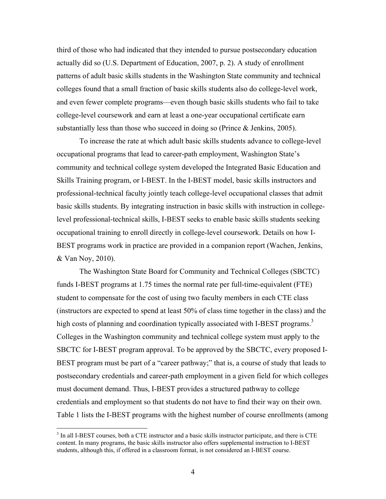third of those who had indicated that they intended to pursue postsecondary education actually did so (U.S. Department of Education, 2007, p. 2). A study of enrollment patterns of adult basic skills students in the Washington State community and technical colleges found that a small fraction of basic skills students also do college-level work, and even fewer complete programs—even though basic skills students who fail to take college-level coursework and earn at least a one-year occupational certificate earn substantially less than those who succeed in doing so (Prince & Jenkins, 2005).

To increase the rate at which adult basic skills students advance to college-level occupational programs that lead to career-path employment, Washington State's community and technical college system developed the Integrated Basic Education and Skills Training program, or I-BEST. In the I-BEST model, basic skills instructors and professional-technical faculty jointly teach college-level occupational classes that admit basic skills students. By integrating instruction in basic skills with instruction in collegelevel professional-technical skills, I-BEST seeks to enable basic skills students seeking occupational training to enroll directly in college-level coursework. Details on how I-BEST programs work in practice are provided in a companion report (Wachen, Jenkins, & Van Noy, 2010).

The Washington State Board for Community and Technical Colleges (SBCTC) funds I-BEST programs at 1.75 times the normal rate per full-time-equivalent (FTE) student to compensate for the cost of using two faculty members in each CTE class (instructors are expected to spend at least 50% of class time together in the class) and the high costs of planning and coordination typically associated with I-BEST programs.<sup>3</sup> Colleges in the Washington community and technical college system must apply to the SBCTC for I-BEST program approval. To be approved by the SBCTC, every proposed I-BEST program must be part of a "career pathway;" that is, a course of study that leads to postsecondary credentials and career-path employment in a given field for which colleges must document demand. Thus, I-BEST provides a structured pathway to college credentials and employment so that students do not have to find their way on their own. Table 1 lists the I-BEST programs with the highest number of course enrollments (among

<sup>&</sup>lt;sup>3</sup> In all I-BEST courses, both a CTE instructor and a basic skills instructor participate, and there is CTE content. In many programs, the basic skills instructor also offers supplemental instruction to I-BEST students, although this, if offered in a classroom format, is not considered an I-BEST course.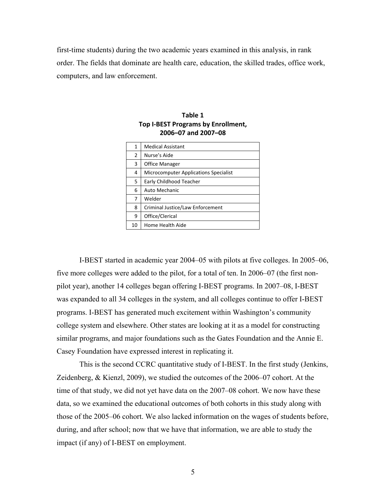first-time students) during the two academic years examined in this analysis, in rank order. The fields that dominate are health care, education, the skilled trades, office work, computers, and law enforcement.

| 1  | <b>Medical Assistant</b>              |
|----|---------------------------------------|
| 2  | Nurse's Aide                          |
| 3  | Office Manager                        |
| 4  | Microcomputer Applications Specialist |
| 5  | Early Childhood Teacher               |
| 6  | Auto Mechanic                         |
| 7  | Welder                                |
| 8  | Criminal Justice/Law Enforcement      |
| 9  | Office/Clerical                       |
| 10 | Home Health Aide                      |

**Table 1 Top I‐BEST Programs by Enrollment, 2006–07 and 2007–08**

I-BEST started in academic year 2004–05 with pilots at five colleges. In 2005–06, five more colleges were added to the pilot, for a total of ten. In 2006–07 (the first nonpilot year), another 14 colleges began offering I-BEST programs. In 2007–08, I-BEST was expanded to all 34 colleges in the system, and all colleges continue to offer I-BEST programs. I-BEST has generated much excitement within Washington's community college system and elsewhere. Other states are looking at it as a model for constructing similar programs, and major foundations such as the Gates Foundation and the Annie E. Casey Foundation have expressed interest in replicating it.

This is the second CCRC quantitative study of I-BEST. In the first study (Jenkins, Zeidenberg, & Kienzl, 2009), we studied the outcomes of the 2006–07 cohort. At the time of that study, we did not yet have data on the 2007–08 cohort. We now have these data, so we examined the educational outcomes of both cohorts in this study along with those of the 2005–06 cohort. We also lacked information on the wages of students before, during, and after school; now that we have that information, we are able to study the impact (if any) of I-BEST on employment.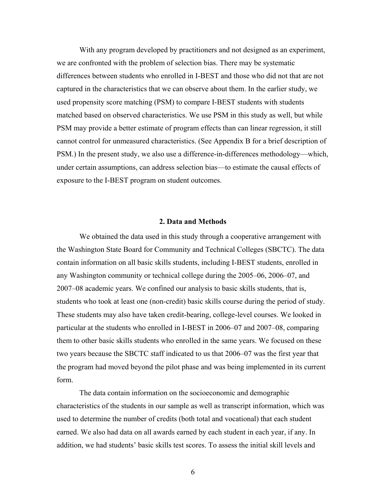With any program developed by practitioners and not designed as an experiment, we are confronted with the problem of selection bias. There may be systematic differences between students who enrolled in I-BEST and those who did not that are not captured in the characteristics that we can observe about them. In the earlier study, we used propensity score matching (PSM) to compare I-BEST students with students matched based on observed characteristics. We use PSM in this study as well, but while PSM may provide a better estimate of program effects than can linear regression, it still cannot control for unmeasured characteristics. (See Appendix B for a brief description of PSM.) In the present study, we also use a difference-in-differences methodology—which, under certain assumptions, can address selection bias—to estimate the causal effects of exposure to the I-BEST program on student outcomes.

#### **2. Data and Methods**

We obtained the data used in this study through a cooperative arrangement with the Washington State Board for Community and Technical Colleges (SBCTC). The data contain information on all basic skills students, including I-BEST students, enrolled in any Washington community or technical college during the 2005–06, 2006–07, and 2007–08 academic years. We confined our analysis to basic skills students, that is, students who took at least one (non-credit) basic skills course during the period of study. These students may also have taken credit-bearing, college-level courses. We looked in particular at the students who enrolled in I-BEST in 2006–07 and 2007–08, comparing them to other basic skills students who enrolled in the same years. We focused on these two years because the SBCTC staff indicated to us that 2006–07 was the first year that the program had moved beyond the pilot phase and was being implemented in its current form.

The data contain information on the socioeconomic and demographic characteristics of the students in our sample as well as transcript information, which was used to determine the number of credits (both total and vocational) that each student earned. We also had data on all awards earned by each student in each year, if any. In addition, we had students' basic skills test scores. To assess the initial skill levels and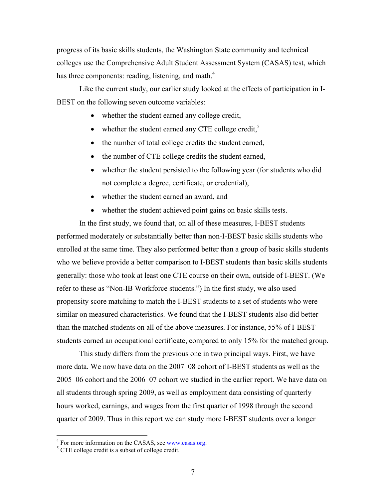progress of its basic skills students, the Washington State community and technical colleges use the Comprehensive Adult Student Assessment System (CASAS) test, which has three components: reading, listening, and math. $4$ 

Like the current study, our earlier study looked at the effects of participation in I-BEST on the following seven outcome variables:

- whether the student earned any college credit,
- whether the student earned any CTE college credit, $5$
- the number of total college credits the student earned,
- the number of CTE college credits the student earned,
- whether the student persisted to the following year (for students who did not complete a degree, certificate, or credential),
- whether the student earned an award, and
- whether the student achieved point gains on basic skills tests.

In the first study, we found that, on all of these measures, I-BEST students performed moderately or substantially better than non-I-BEST basic skills students who enrolled at the same time. They also performed better than a group of basic skills students who we believe provide a better comparison to I-BEST students than basic skills students generally: those who took at least one CTE course on their own, outside of I-BEST. (We refer to these as "Non-IB Workforce students.") In the first study, we also used propensity score matching to match the I-BEST students to a set of students who were similar on measured characteristics. We found that the I-BEST students also did better than the matched students on all of the above measures. For instance, 55% of I-BEST students earned an occupational certificate, compared to only 15% for the matched group.

This study differs from the previous one in two principal ways. First, we have more data. We now have data on the 2007–08 cohort of I-BEST students as well as the 2005–06 cohort and the 2006–07 cohort we studied in the earlier report. We have data on all students through spring 2009, as well as employment data consisting of quarterly hours worked, earnings, and wages from the first quarter of 1998 through the second quarter of 2009. Thus in this report we can study more I-BEST students over a longer

 $^{4}$  For more information on the CASAS, see www.casas.org.

<sup>&</sup>lt;sup>5</sup> CTE college credit is a subset of college credit.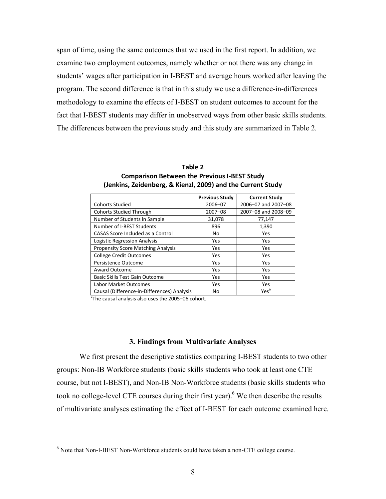span of time, using the same outcomes that we used in the first report. In addition, we examine two employment outcomes, namely whether or not there was any change in students' wages after participation in I-BEST and average hours worked after leaving the program. The second difference is that in this study we use a difference-in-differences methodology to examine the effects of I-BEST on student outcomes to account for the fact that I-BEST students may differ in unobserved ways from other basic skills students. The differences between the previous study and this study are summarized in Table 2.

| (Jenkins, Zeidenberg, & Kienzl, 2009) and the Current Study |                       |                      |  |  |  |  |
|-------------------------------------------------------------|-----------------------|----------------------|--|--|--|--|
|                                                             | <b>Previous Study</b> | <b>Current Study</b> |  |  |  |  |
| Cohorts Studied                                             | 2006-07               | 2006-07 and 2007-08  |  |  |  |  |
| <b>Cohorts Studied Through</b>                              | $2007 - 08$           | 2007-08 and 2008-09  |  |  |  |  |
| Number of Students in Sample                                | 31,078                | 77,147               |  |  |  |  |
| Number of I-BEST Students                                   | 896                   | 1,390                |  |  |  |  |

CASAS Score Included as a Control No No Yes Logistic Regression Analysis **Yes** Yes Yes Propensity Score Matching Analysis | Yes | Yes College Credit Outcomes **1992** Yes Yes Yes Persistence Outcome Nesternal Persistence Outcome Nesternal Persistence Outcome Vesternal Persistence Outcome Award Outcome Yes Present Award Outcome Basic Skills Test Gain Outcome Yes Yes Yes Labor Market Outcomes Nesterland Nesterland Yes

| Table 2                                                    |
|------------------------------------------------------------|
| <b>Comparison Between the Previous I-BEST Study</b>        |
| Jenkins, Zeidenberg, & Kienzl, 2009) and the Current Study |

**Table 2**

Causal (Difference-in-Differences) Analysis No No Yes<sup>a</sup>

<sup>a</sup>The causal analysis also uses the 2005–06 cohort.

#### **3. Findings from Multivariate Analyses**

We first present the descriptive statistics comparing I-BEST students to two other groups: Non-IB Workforce students (basic skills students who took at least one CTE course, but not I-BEST), and Non-IB Non-Workforce students (basic skills students who took no college-level CTE courses during their first year). <sup>6</sup> We then describe the results of multivariate analyses estimating the effect of I-BEST for each outcome examined here.

 $\overline{a}$ 

<sup>&</sup>lt;sup>6</sup> Note that Non-I-BEST Non-Workforce students could have taken a non-CTE college course.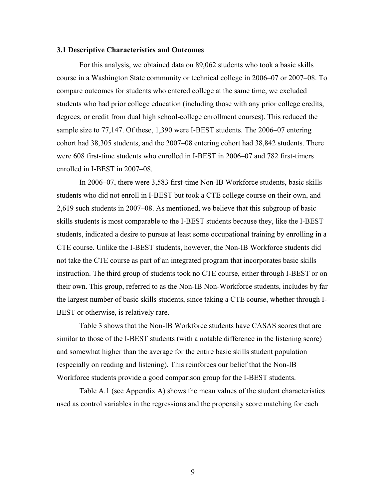#### **3.1 Descriptive Characteristics and Outcomes**

For this analysis, we obtained data on 89,062 students who took a basic skills course in a Washington State community or technical college in 2006–07 or 2007–08. To compare outcomes for students who entered college at the same time, we excluded students who had prior college education (including those with any prior college credits, degrees, or credit from dual high school-college enrollment courses). This reduced the sample size to 77,147. Of these, 1,390 were I-BEST students. The 2006–07 entering cohort had 38,305 students, and the 2007–08 entering cohort had 38,842 students. There were 608 first-time students who enrolled in I-BEST in 2006–07 and 782 first-timers enrolled in I-BEST in 2007–08.

In 2006–07, there were 3,583 first-time Non-IB Workforce students, basic skills students who did not enroll in I-BEST but took a CTE college course on their own, and 2,619 such students in 2007–08. As mentioned, we believe that this subgroup of basic skills students is most comparable to the I-BEST students because they, like the I-BEST students, indicated a desire to pursue at least some occupational training by enrolling in a CTE course. Unlike the I-BEST students, however, the Non-IB Workforce students did not take the CTE course as part of an integrated program that incorporates basic skills instruction. The third group of students took no CTE course, either through I-BEST or on their own. This group, referred to as the Non-IB Non-Workforce students, includes by far the largest number of basic skills students, since taking a CTE course, whether through I-BEST or otherwise, is relatively rare.

Table 3 shows that the Non-IB Workforce students have CASAS scores that are similar to those of the I-BEST students (with a notable difference in the listening score) and somewhat higher than the average for the entire basic skills student population (especially on reading and listening). This reinforces our belief that the Non-IB Workforce students provide a good comparison group for the I-BEST students.

Table A.1 (see Appendix A) shows the mean values of the student characteristics used as control variables in the regressions and the propensity score matching for each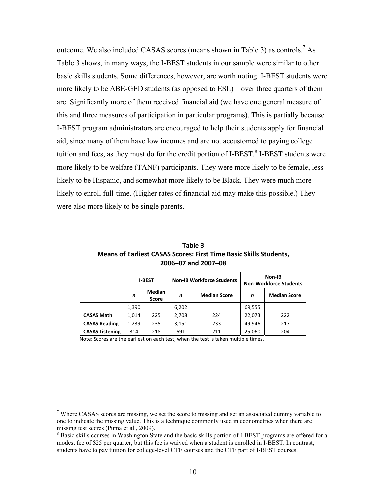outcome. We also included CASAS scores (means shown in Table 3) as controls.<sup>7</sup> As Table 3 shows, in many ways, the I-BEST students in our sample were similar to other basic skills students. Some differences, however, are worth noting. I-BEST students were more likely to be ABE-GED students (as opposed to ESL)—over three quarters of them are. Significantly more of them received financial aid (we have one general measure of this and three measures of participation in particular programs). This is partially because I-BEST program administrators are encouraged to help their students apply for financial aid, since many of them have low incomes and are not accustomed to paying college tuition and fees, as they must do for the credit portion of I-BEST.<sup>8</sup> I-BEST students were more likely to be welfare (TANF) participants. They were more likely to be female, less likely to be Hispanic, and somewhat more likely to be Black. They were much more likely to enroll full-time. (Higher rates of financial aid may make this possible.) They were also more likely to be single parents.

| Table 3                                                                  |  |  |  |  |  |
|--------------------------------------------------------------------------|--|--|--|--|--|
| <b>Means of Earliest CASAS Scores: First Time Basic Skills Students,</b> |  |  |  |  |  |
| 2006-07 and 2007-08                                                      |  |  |  |  |  |

|                        |       | <b>I-BEST</b>                 | <b>Non-IB Workforce Students</b> |                     | Non-IB<br><b>Non-Workforce Students</b> |                     |  |
|------------------------|-------|-------------------------------|----------------------------------|---------------------|-----------------------------------------|---------------------|--|
|                        | n     | <b>Median</b><br><b>Score</b> | n                                | <b>Median Score</b> | n                                       | <b>Median Score</b> |  |
|                        | 1.390 |                               | 6,202                            |                     | 69,555                                  |                     |  |
| <b>CASAS Math</b>      | 1.014 | 225                           | 2,708                            | 224                 | 22,073                                  | 222                 |  |
| <b>CASAS Reading</b>   | 1,239 | 235                           | 3,151                            | 233                 | 49,946                                  | 217                 |  |
| <b>CASAS Listening</b> | 314   | 218                           | 691                              | 211                 | 25,060                                  | 204                 |  |

Note: Scores are the earliest on each test, when the test is taken multiple times.

 $\overline{a}$ 

<sup>&</sup>lt;sup>7</sup> Where CASAS scores are missing, we set the score to missing and set an associated dummy variable to one to indicate the missing value. This is a technique commonly used in econometrics when there are missing test scores (Puma et al., 2009).

<sup>&</sup>lt;sup>8</sup> Basic skills courses in Washington State and the basic skills portion of I-BEST programs are offered for a modest fee of \$25 per quarter, but this fee is waived when a student is enrolled in I-BEST. In contrast, students have to pay tuition for college-level CTE courses and the CTE part of I-BEST courses.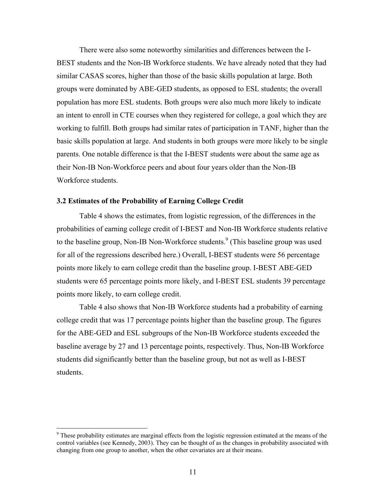There were also some noteworthy similarities and differences between the I-BEST students and the Non-IB Workforce students. We have already noted that they had similar CASAS scores, higher than those of the basic skills population at large. Both groups were dominated by ABE-GED students, as opposed to ESL students; the overall population has more ESL students. Both groups were also much more likely to indicate an intent to enroll in CTE courses when they registered for college, a goal which they are working to fulfill. Both groups had similar rates of participation in TANF, higher than the basic skills population at large. And students in both groups were more likely to be single parents. One notable difference is that the I-BEST students were about the same age as their Non-IB Non-Workforce peers and about four years older than the Non-IB Workforce students.

### **3.2 Estimates of the Probability of Earning College Credit**

Table 4 shows the estimates, from logistic regression, of the differences in the probabilities of earning college credit of I-BEST and Non-IB Workforce students relative to the baseline group, Non-IB Non-Workforce students.<sup>9</sup> (This baseline group was used for all of the regressions described here.) Overall, I-BEST students were 56 percentage points more likely to earn college credit than the baseline group. I-BEST ABE-GED students were 65 percentage points more likely, and I-BEST ESL students 39 percentage points more likely, to earn college credit.

Table 4 also shows that Non-IB Workforce students had a probability of earning college credit that was 17 percentage points higher than the baseline group. The figures for the ABE-GED and ESL subgroups of the Non-IB Workforce students exceeded the baseline average by 27 and 13 percentage points, respectively. Thus, Non-IB Workforce students did significantly better than the baseline group, but not as well as I-BEST students.

 $\overline{a}$ 

<sup>&</sup>lt;sup>9</sup> These probability estimates are marginal effects from the logistic regression estimated at the means of the control variables (see Kennedy, 2003). They can be thought of as the changes in probability associated with changing from one group to another, when the other covariates are at their means.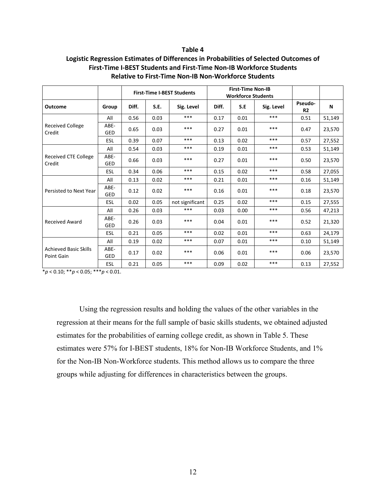#### **Table 4**

### **Logistic Regression Estimates of Differences in Probabilities of Selected Outcomes of First‐Time I‐BEST Students and First‐Time Non‐IB Workforce Students Relative to First‐Time Non‐IB Non‐Workforce Students**

|                                            |                    | <b>First-Time I-BEST Students</b> |      |                 | <b>First-Time Non-IB</b><br><b>Workforce Students</b> |      |            |                           |        |
|--------------------------------------------|--------------------|-----------------------------------|------|-----------------|-------------------------------------------------------|------|------------|---------------------------|--------|
| Outcome                                    | Group              | Diff.                             | S.E. | Sig. Level      | Diff.                                                 | S.E  | Sig. Level | Pseudo-<br>R <sub>2</sub> | N      |
|                                            | All                | 0.56                              | 0.03 | $***$           | 0.17                                                  | 0.01 | ***        | 0.51                      | 51,149 |
| <b>Received College</b><br>Credit          | ABE-<br>GED        | 0.65                              | 0.03 | $***$           | 0.27                                                  | 0.01 | $***$      | 0.47                      | 23,570 |
|                                            | <b>ESL</b>         | 0.39                              | 0.07 | ***             | 0.13                                                  | 0.02 | ***        | 0.57                      | 27,552 |
|                                            | All                | 0.54                              | 0.03 | $***$           | 0.19                                                  | 0.01 | ***        | 0.53                      | 51,149 |
| Received CTE College<br>Credit             | ABE-<br>GED        | 0.66                              | 0.03 | ***             | 0.27                                                  | 0.01 | ***        | 0.50                      | 23,570 |
|                                            | <b>ESL</b>         | 0.34                              | 0.06 | $***$           | 0.15                                                  | 0.02 | ***        | 0.58                      | 27,055 |
|                                            | All                | 0.13                              | 0.02 | ***             | 0.21                                                  | 0.01 | ***        | 0.16                      | 51,149 |
| Persisted to Next Year                     | ABE-<br>GED        | 0.12                              | 0.02 | ***             | 0.16                                                  | 0.01 | ***        | 0.18                      | 23,570 |
|                                            | ESL                | 0.02                              | 0.05 | not significant | 0.25                                                  | 0.02 | $***$      | 0.15                      | 27,555 |
|                                            | All                | 0.26                              | 0.03 | ***             | 0.03                                                  | 0.00 | $***$      | 0.56                      | 47,213 |
| <b>Received Award</b>                      | ABE-<br><b>GED</b> | 0.26                              | 0.03 | $***$           | 0.04                                                  | 0.01 | $***$      | 0.52                      | 21,320 |
|                                            | <b>ESL</b>         | 0.21                              | 0.05 | $***$           | 0.02                                                  | 0.01 | $***$      | 0.63                      | 24,179 |
| <b>Achieved Basic Skills</b><br>Point Gain | All                | 0.19                              | 0.02 | ***             | 0.07                                                  | 0.01 | ***        | 0.10                      | 51,149 |
|                                            | ABE-<br>GED        | 0.17                              | 0.02 | ***             | 0.06                                                  | 0.01 | ***        | 0.06                      | 23,570 |
|                                            | ESL                | 0.21                              | 0.05 | ***             | 0.09                                                  | 0.02 | ***        | 0.13                      | 27,552 |

\**p* < 0.10; \*\**p* < 0.05; \*\*\**p* < 0.01.

Using the regression results and holding the values of the other variables in the regression at their means for the full sample of basic skills students, we obtained adjusted estimates for the probabilities of earning college credit, as shown in Table 5. These estimates were 57% for I-BEST students, 18% for Non-IB Workforce Students, and 1% for the Non-IB Non-Workforce students. This method allows us to compare the three groups while adjusting for differences in characteristics between the groups.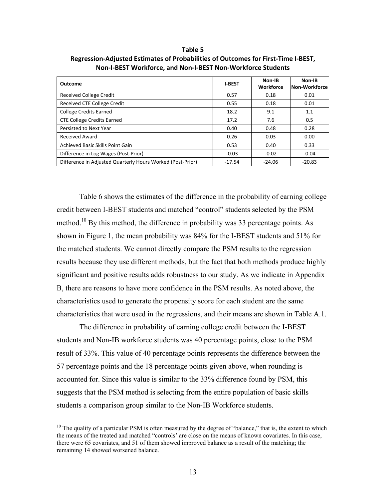**Outcome <sup>I</sup>‐BEST Non‐IB Workforce Non‐IB Non‐Workforce** Received College Credit **1.18 College Credit** 1.18 College 2.018 and 2.018 and 2.018 and 2.018 and 2.018 and 2.01 Received CTE College Credit COME CONSERVED CONSERVED ASSESSED ASSESSED AND DUI ON A LOCAL CONSERVED ON A LOCAL College Credits Earned 2.1 1.1 2.2 9.1 1.1 CTE College Credits Earned  $\begin{array}{|c|c|c|c|c|c|c|c|} \hline \end{array}$  17.2  $\begin{array}{|c|c|c|c|c|c|c|c|} \hline \end{array}$  17.6  $\begin{array}{|c|c|c|c|c|c|c|c|c|} \hline \end{array}$  0.5 Persisted to Next Year 0.28 0.40 0.48 0.28 Received Award **1.2006 1.2006 1.2006 1.2006 1.2006 1.2006 1.2006 1.2006 0.00 0.00 0.00** Achieved Basic Skills Point Gain 1.000 0.53 0.40 0.33 Difference in Log Wages (Post-Prior) Let under the contract of the contract of the contract of the contract of the contract of the contract of the contract of the contract of the contract of the contract of the contract Difference in Adjusted Quarterly Hours Worked (Post-Prior) Let 17.54 Let 17.54 Le -24.06 Le -20.83

**Table 5 Regression‐Adjusted Estimates of Probabilities of Outcomes for First‐Time I‐BEST, Non‐I‐BEST Workforce, and Non‐I‐BEST Non‐Workforce Students**

Table 6 shows the estimates of the difference in the probability of earning college credit between I-BEST students and matched "control" students selected by the PSM method.<sup>10</sup> By this method, the difference in probability was 33 percentage points. As shown in Figure 1, the mean probability was 84% for the I-BEST students and 51% for the matched students. We cannot directly compare the PSM results to the regression results because they use different methods, but the fact that both methods produce highly significant and positive results adds robustness to our study. As we indicate in Appendix B, there are reasons to have more confidence in the PSM results. As noted above, the characteristics used to generate the propensity score for each student are the same characteristics that were used in the regressions, and their means are shown in Table A.1.

The difference in probability of earning college credit between the I-BEST students and Non-IB workforce students was 40 percentage points, close to the PSM result of 33%. This value of 40 percentage points represents the difference between the 57 percentage points and the 18 percentage points given above, when rounding is accounted for. Since this value is similar to the 33% difference found by PSM, this suggests that the PSM method is selecting from the entire population of basic skills students a comparison group similar to the Non-IB Workforce students.

 $\overline{a}$ 

 $10$  The quality of a particular PSM is often measured by the degree of "balance," that is, the extent to which the means of the treated and matched "controls' are close on the means of known covariates. In this case, there were 65 covariates, and 51 of them showed improved balance as a result of the matching; the remaining 14 showed worsened balance.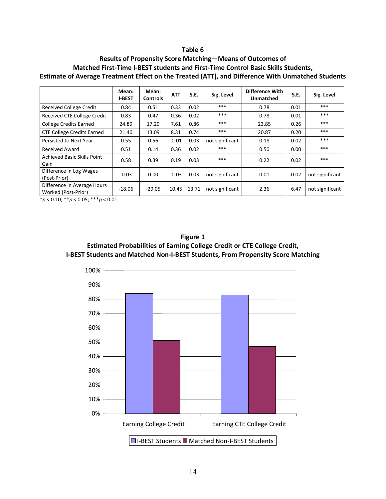#### **Table 6**

## **Results of Propensity Score Matching—Means of Outcomes of Matched First‐Time I‐BEST students and First‐Time Control Basic Skills Students, Estimate of Average Treatment Effect on the Treated (ATT), and Difference With Unmatched Students**

|                                                    | Mean:<br><b>I-BEST</b> | Mean:<br><b>Controls</b> | <b>ATT</b> | S.E.  | Sig. Level      | Difference With<br><b>Unmatched</b> | S.E. | Sig. Level      |
|----------------------------------------------------|------------------------|--------------------------|------------|-------|-----------------|-------------------------------------|------|-----------------|
| <b>Received College Credit</b>                     | 0.84                   | 0.51                     | 0.33       | 0.02  | ***             | 0.78                                | 0.01 | ***             |
| <b>Received CTE College Credit</b>                 | 0.83                   | 0.47                     | 0.36       | 0.02  | ***             | 0.78                                | 0.01 | ***             |
| <b>College Credits Earned</b>                      | 24.89                  | 17.29                    | 7.61       | 0.86  | ***             | 23.85                               | 0.26 | ***             |
| <b>CTE College Credits Earned</b>                  | 21.40                  | 13.09                    | 8.31       | 0.74  | ***             | 20.87                               | 0.20 | ***             |
| Persisted to Next Year                             | 0.55                   | 0.56                     | $-0.01$    | 0.03  | not significant | 0.18                                | 0.02 | ***             |
| <b>Received Award</b>                              | 0.51                   | 0.14                     | 0.36       | 0.02  | $***$           | 0.50                                | 0.00 | ***             |
| Achieved Basic Skills Point<br>Gain                | 0.58                   | 0.39                     | 0.19       | 0.03  | ***             | 0.22                                | 0.02 | ***             |
| Difference in Log Wages<br>(Post-Prior)            | $-0.03$                | 0.00                     | $-0.03$    | 0.03  | not significant | 0.01                                | 0.02 | not significant |
| Difference in Average Hours<br>Worked (Post-Prior) | $-18.06$               | $-29.05$                 | 10.45      | 13.71 | not significant | 2.36                                | 6.47 | not significant |

\**p* < 0.10; \*\**p* < 0.05; \*\*\**p* < 0.01.

**Figure 1 Estimated Probabilities of Earning College Credit or CTE College Credit, I‐BEST Students and Matched Non‐I‐BEST Students, From Propensity Score Matching**

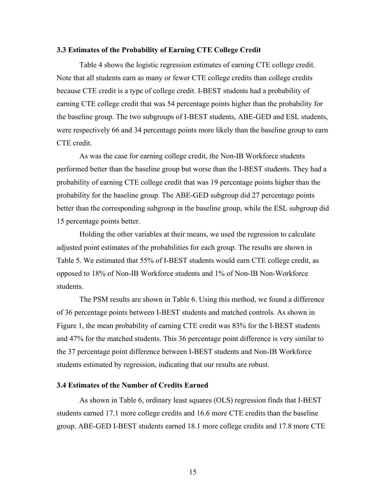#### **3.3 Estimates of the Probability of Earning CTE College Credit**

Table 4 shows the logistic regression estimates of earning CTE college credit. Note that all students earn as many or fewer CTE college credits than college credits because CTE credit is a type of college credit. I-BEST students had a probability of earning CTE college credit that was 54 percentage points higher than the probability for the baseline group. The two subgroups of I-BEST students, ABE-GED and ESL students, were respectively 66 and 34 percentage points more likely than the baseline group to earn CTE credit.

As was the case for earning college credit, the Non-IB Workforce students performed better than the baseline group but worse than the I-BEST students. They had a probability of earning CTE college credit that was 19 percentage points higher than the probability for the baseline group. The ABE-GED subgroup did 27 percentage points better than the corresponding subgroup in the baseline group, while the ESL subgroup did 15 percentage points better.

Holding the other variables at their means, we used the regression to calculate adjusted point estimates of the probabilities for each group. The results are shown in Table 5. We estimated that 55% of I-BEST students would earn CTE college credit, as opposed to 18% of Non-IB Workforce students and 1% of Non-IB Non-Workforce students.

The PSM results are shown in Table 6. Using this method, we found a difference of 36 percentage points between I-BEST students and matched controls. As shown in Figure 1, the mean probability of earning CTE credit was 83% for the I-BEST students and 47% for the matched students. This 36 percentage point difference is very similar to the 37 percentage point difference between I-BEST students and Non-IB Workforce students estimated by regression, indicating that our results are robust.

### **3.4 Estimates of the Number of Credits Earned**

As shown in Table 6, ordinary least squares (OLS) regression finds that I-BEST students earned 17.1 more college credits and 16.6 more CTE credits than the baseline group. ABE-GED I-BEST students earned 18.1 more college credits and 17.8 more CTE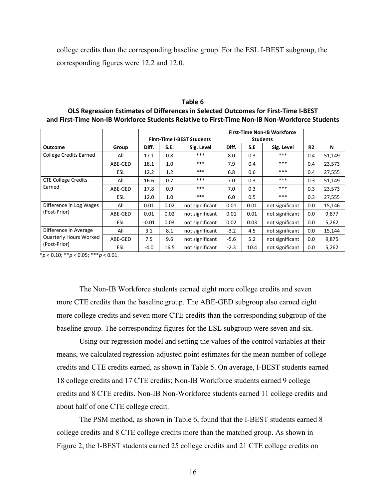college credits than the corresponding baseline group. For the ESL I-BEST subgroup, the corresponding figures were 12.2 and 12.0.

|                                      |            | <b>First-Time I-BEST Students</b> |      |                 |        | <b>First-Time Non-IB Workforce</b><br><b>Students</b> |                 |                |        |
|--------------------------------------|------------|-----------------------------------|------|-----------------|--------|-------------------------------------------------------|-----------------|----------------|--------|
| <b>Outcome</b>                       | Group      | Diff.                             | S.E. | Sig. Level      | Diff.  | S.E                                                   | Sig. Level      | R <sub>2</sub> | N      |
| <b>College Credits Earned</b>        | All        | 17.1                              | 0.8  | ***             | 8.0    | 0.3                                                   | ***             | 0.4            | 51,149 |
|                                      | ABE-GED    | 18.1                              | 1.0  | ***             | 7.9    | 0.4                                                   | ***             | 0.4            | 23,573 |
|                                      | <b>ESL</b> | 12.2                              | 1.2  | ***             | 6.8    | 0.6                                                   | ***             | 0.4            | 27,555 |
| <b>CTE College Credits</b><br>Earned | All        | 16.6                              | 0.7  | ***             | 7.0    | 0.3                                                   | ***             | 0.3            | 51,149 |
|                                      | ABE-GED    | 17.8                              | 0.9  | ***             | 7.0    | 0.3                                                   | $***$           | 0.3            | 23,573 |
|                                      | <b>ESL</b> | 12.0                              | 1.0  | ***             | 6.0    | 0.5                                                   | ***             | 0.3            | 27,555 |
| Difference in Log Wages              | All        | 0.01                              | 0.02 | not significant | 0.01   | 0.01                                                  | not significant | $0.0\,$        | 15,146 |
| (Post-Prior)                         | ABE-GED    | 0.01                              | 0.02 | not significant | 0.01   | 0.01                                                  | not significant | $0.0\,$        | 9,877  |
|                                      | <b>ESL</b> | $-0.01$                           | 0.03 | not significant | 0.02   | 0.03                                                  | not significant | 0.0            | 5,262  |
| Difference in Average                | All        | 3.1                               | 8.1  | not significant | $-3.2$ | 4.5                                                   | not significant | $0.0\,$        | 15,144 |
| <b>Quarterly Hours Worked</b>        | ABE-GED    | 7.5                               | 9.6  | not significant | $-5.6$ | 5.2                                                   | not significant | 0.0            | 9,875  |
| (Post-Prior)                         | <b>ESL</b> | $-4.0$                            | 16.5 | not significant | $-2.3$ | 10.4                                                  | not significant | 0.0            | 5,262  |

**Table 6 OLS Regression Estimates of Differences in Selected Outcomes for First‐Time I‐BEST**  and First-Time Non-IB Workforce Students Relative to First-Time Non-IB Non-Workforce Students

\**p* < 0.10; \*\**p* < 0.05; \*\*\**p* < 0.01.

The Non-IB Workforce students earned eight more college credits and seven more CTE credits than the baseline group. The ABE-GED subgroup also earned eight more college credits and seven more CTE credits than the corresponding subgroup of the baseline group. The corresponding figures for the ESL subgroup were seven and six.

Using our regression model and setting the values of the control variables at their means, we calculated regression-adjusted point estimates for the mean number of college credits and CTE credits earned, as shown in Table 5. On average, I-BEST students earned 18 college credits and 17 CTE credits; Non-IB Workforce students earned 9 college credits and 8 CTE credits. Non-IB Non-Workforce students earned 11 college credits and about half of one CTE college credit.

The PSM method, as shown in Table 6, found that the I-BEST students earned 8 college credits and 8 CTE college credits more than the matched group. As shown in Figure 2, the I-BEST students earned 25 college credits and 21 CTE college credits on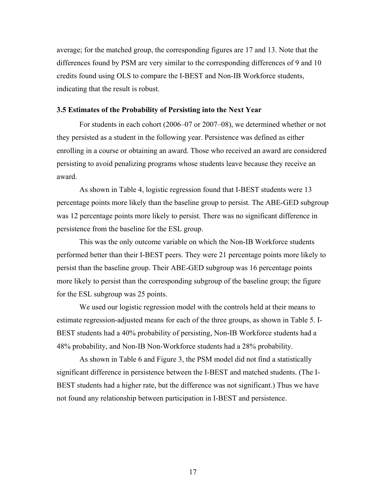average; for the matched group, the corresponding figures are 17 and 13. Note that the differences found by PSM are very similar to the corresponding differences of 9 and 10 credits found using OLS to compare the I-BEST and Non-IB Workforce students, indicating that the result is robust.

#### **3.5 Estimates of the Probability of Persisting into the Next Year**

For students in each cohort (2006–07 or 2007–08), we determined whether or not they persisted as a student in the following year. Persistence was defined as either enrolling in a course or obtaining an award. Those who received an award are considered persisting to avoid penalizing programs whose students leave because they receive an award.

As shown in Table 4, logistic regression found that I-BEST students were 13 percentage points more likely than the baseline group to persist. The ABE-GED subgroup was 12 percentage points more likely to persist. There was no significant difference in persistence from the baseline for the ESL group.

This was the only outcome variable on which the Non-IB Workforce students performed better than their I-BEST peers. They were 21 percentage points more likely to persist than the baseline group. Their ABE-GED subgroup was 16 percentage points more likely to persist than the corresponding subgroup of the baseline group; the figure for the ESL subgroup was 25 points.

We used our logistic regression model with the controls held at their means to estimate regression-adjusted means for each of the three groups, as shown in Table 5. I-BEST students had a 40% probability of persisting, Non-IB Workforce students had a 48% probability, and Non-IB Non-Workforce students had a 28% probability.

As shown in Table 6 and Figure 3, the PSM model did not find a statistically significant difference in persistence between the I-BEST and matched students. (The I-BEST students had a higher rate, but the difference was not significant.) Thus we have not found any relationship between participation in I-BEST and persistence.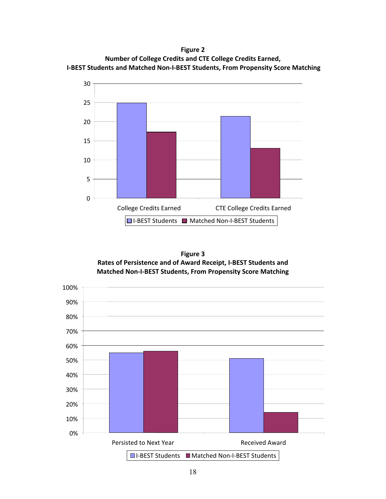**Figure 2 Number of College Credits and CTE College Credits Earned, I‐BEST Students and Matched Non‐I‐BEST Students, From Propensity Score Matching**





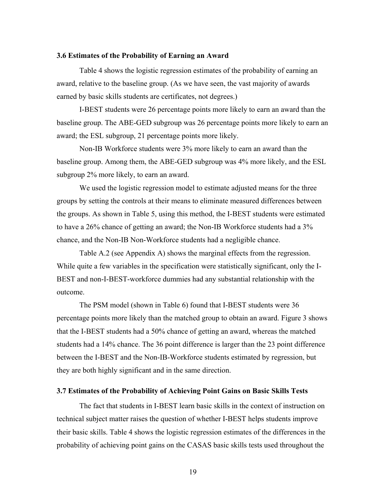#### **3.6 Estimates of the Probability of Earning an Award**

Table 4 shows the logistic regression estimates of the probability of earning an award, relative to the baseline group. (As we have seen, the vast majority of awards earned by basic skills students are certificates, not degrees.)

I-BEST students were 26 percentage points more likely to earn an award than the baseline group. The ABE-GED subgroup was 26 percentage points more likely to earn an award; the ESL subgroup, 21 percentage points more likely.

Non-IB Workforce students were 3% more likely to earn an award than the baseline group. Among them, the ABE-GED subgroup was 4% more likely, and the ESL subgroup 2% more likely, to earn an award.

We used the logistic regression model to estimate adjusted means for the three groups by setting the controls at their means to eliminate measured differences between the groups. As shown in Table 5, using this method, the I-BEST students were estimated to have a 26% chance of getting an award; the Non-IB Workforce students had a 3% chance, and the Non-IB Non-Workforce students had a negligible chance.

Table A.2 (see Appendix A) shows the marginal effects from the regression. While quite a few variables in the specification were statistically significant, only the I-BEST and non-I-BEST-workforce dummies had any substantial relationship with the outcome.

The PSM model (shown in Table 6) found that I-BEST students were 36 percentage points more likely than the matched group to obtain an award. Figure 3 shows that the I-BEST students had a 50% chance of getting an award, whereas the matched students had a 14% chance. The 36 point difference is larger than the 23 point difference between the I-BEST and the Non-IB-Workforce students estimated by regression, but they are both highly significant and in the same direction.

#### **3.7 Estimates of the Probability of Achieving Point Gains on Basic Skills Tests**

The fact that students in I-BEST learn basic skills in the context of instruction on technical subject matter raises the question of whether I-BEST helps students improve their basic skills. Table 4 shows the logistic regression estimates of the differences in the probability of achieving point gains on the CASAS basic skills tests used throughout the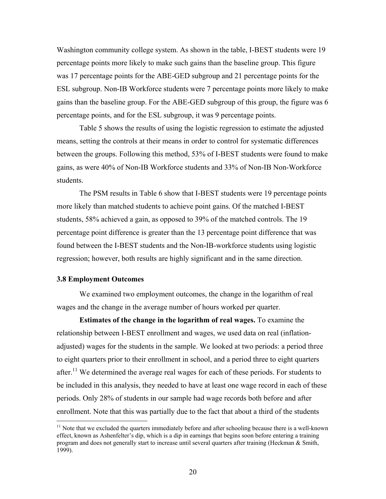Washington community college system. As shown in the table, I-BEST students were 19 percentage points more likely to make such gains than the baseline group. This figure was 17 percentage points for the ABE-GED subgroup and 21 percentage points for the ESL subgroup. Non-IB Workforce students were 7 percentage points more likely to make gains than the baseline group. For the ABE-GED subgroup of this group, the figure was 6 percentage points, and for the ESL subgroup, it was 9 percentage points.

Table 5 shows the results of using the logistic regression to estimate the adjusted means, setting the controls at their means in order to control for systematic differences between the groups. Following this method, 53% of I-BEST students were found to make gains, as were 40% of Non-IB Workforce students and 33% of Non-IB Non-Workforce students.

The PSM results in Table 6 show that I-BEST students were 19 percentage points more likely than matched students to achieve point gains. Of the matched I-BEST students, 58% achieved a gain, as opposed to 39% of the matched controls. The 19 percentage point difference is greater than the 13 percentage point difference that was found between the I-BEST students and the Non-IB-workforce students using logistic regression; however, both results are highly significant and in the same direction.

#### **3.8 Employment Outcomes**

<u>.</u>

We examined two employment outcomes, the change in the logarithm of real wages and the change in the average number of hours worked per quarter.

**Estimates of the change in the logarithm of real wages.** To examine the relationship between I-BEST enrollment and wages, we used data on real (inflationadjusted) wages for the students in the sample. We looked at two periods: a period three to eight quarters prior to their enrollment in school, and a period three to eight quarters after.<sup>11</sup> We determined the average real wages for each of these periods. For students to be included in this analysis, they needed to have at least one wage record in each of these periods. Only 28% of students in our sample had wage records both before and after enrollment. Note that this was partially due to the fact that about a third of the students

 $11$  Note that we excluded the quarters immediately before and after schooling because there is a well-known effect, known as Ashenfelter's dip, which is a dip in earnings that begins soon before entering a training program and does not generally start to increase until several quarters after training (Heckman & Smith, 1999).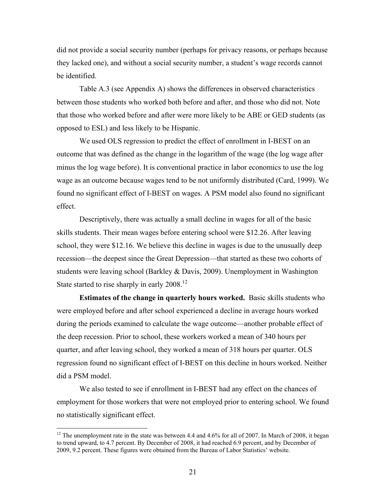did not provide a social security number (perhaps for privacy reasons, or perhaps because they lacked one), and without a social security number, a student's wage records cannot be identified.

Table A.3 (see Appendix A) shows the differences in observed characteristics between those students who worked both before and after, and those who did not. Note that those who worked before and after were more likely to be ABE or GED students (as opposed to ESL) and less likely to be Hispanic.

We used OLS regression to predict the effect of enrollment in I-BEST on an outcome that was defined as the change in the logarithm of the wage (the log wage after minus the log wage before). It is conventional practice in labor economics to use the log wage as an outcome because wages tend to be not uniformly distributed (Card, 1999). We found no significant effect of I-BEST on wages. A PSM model also found no significant effect.

Descriptively, there was actually a small decline in wages for all of the basic skills students. Their mean wages before entering school were \$12.26. After leaving school, they were \$12.16. We believe this decline in wages is due to the unusually deep recession—the deepest since the Great Depression—that started as these two cohorts of students were leaving school (Barkley & Davis, 2009). Unemployment in Washington State started to rise sharply in early  $2008$ <sup>12</sup>

**Estimates of the change in quarterly hours worked.** Basic skills students who were employed before and after school experienced a decline in average hours worked during the periods examined to calculate the wage outcome—another probable effect of the deep recession. Prior to school, these workers worked a mean of 340 hours per quarter, and after leaving school, they worked a mean of 318 hours per quarter. OLS regression found no significant effect of I-BEST on this decline in hours worked. Neither did a PSM model.

 We also tested to see if enrollment in I-BEST had any effect on the chances of employment for those workers that were not employed prior to entering school. We found no statistically significant effect.

 $\overline{a}$ 

<sup>&</sup>lt;sup>12</sup> The unemployment rate in the state was between 4.4 and 4.6% for all of 2007. In March of 2008, it began to trend upward, to 4.7 percent. By December of 2008, it had reached 6.9 percent, and by December of 2009, 9.2 percent. These figures were obtained from the Bureau of Labor Statistics' website.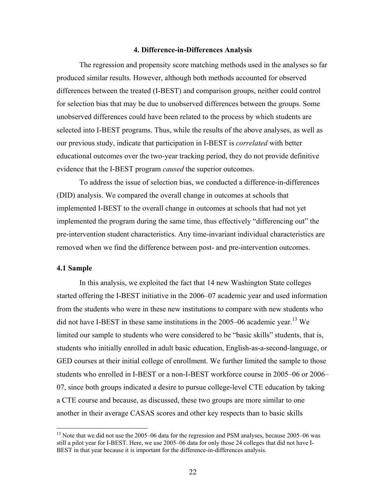#### **4. Difference-in-Differences Analysis**

The regression and propensity score matching methods used in the analyses so far produced similar results. However, although both methods accounted for observed differences between the treated (I-BEST) and comparison groups, neither could control for selection bias that may be due to unobserved differences between the groups. Some unobserved differences could have been related to the process by which students are selected into I-BEST programs. Thus, while the results of the above analyses, as well as our previous study, indicate that participation in I-BEST is *correlated* with better educational outcomes over the two-year tracking period, they do not provide definitive evidence that the I-BEST program *caused* the superior outcomes.

To address the issue of selection bias, we conducted a difference-in-differences (DID) analysis. We compared the overall change in outcomes at schools that implemented I-BEST to the overall change in outcomes at schools that had not yet implemented the program during the same time, thus effectively "differencing out" the pre-intervention student characteristics. Any time-invariant individual characteristics are removed when we find the difference between post- and pre-intervention outcomes.

### **4.1 Sample**

 $\overline{a}$ 

In this analysis, we exploited the fact that 14 new Washington State colleges started offering the I-BEST initiative in the 2006–07 academic year and used information from the students who were in these new institutions to compare with new students who did not have I-BEST in these same institutions in the  $2005-06$  academic year.<sup>13</sup> We limited our sample to students who were considered to be "basic skills" students, that is, students who initially enrolled in adult basic education, English-as-a-second-language, or GED courses at their initial college of enrollment. We further limited the sample to those students who enrolled in I-BEST or a non-I-BEST workforce course in 2005–06 or 2006– 07, since both groups indicated a desire to pursue college-level CTE education by taking a CTE course and because, as discussed, these two groups are more similar to one another in their average CASAS scores and other key respects than to basic skills

<sup>&</sup>lt;sup>13</sup> Note that we did not use the 2005–06 data for the regression and PSM analyses, because 2005–06 was still a pilot year for I-BEST. Here, we use 2005–06 data for only those 24 colleges that did not have I-BEST in that year because it is important for the difference-in-differences analysis.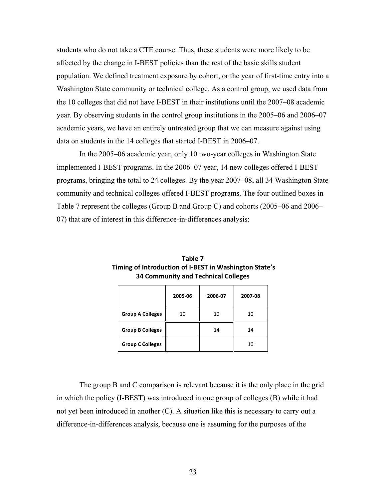students who do not take a CTE course. Thus, these students were more likely to be affected by the change in I-BEST policies than the rest of the basic skills student population. We defined treatment exposure by cohort, or the year of first-time entry into a Washington State community or technical college. As a control group, we used data from the 10 colleges that did not have I-BEST in their institutions until the 2007–08 academic year. By observing students in the control group institutions in the 2005–06 and 2006–07 academic years, we have an entirely untreated group that we can measure against using data on students in the 14 colleges that started I-BEST in 2006–07.

In the 2005–06 academic year, only 10 two-year colleges in Washington State implemented I-BEST programs. In the 2006–07 year, 14 new colleges offered I-BEST programs, bringing the total to 24 colleges. By the year 2007–08, all 34 Washington State community and technical colleges offered I-BEST programs. The four outlined boxes in Table 7 represent the colleges (Group B and Group C) and cohorts (2005–06 and 2006– 07) that are of interest in this difference-in-differences analysis:

|                         | 2005-06 | 2006-07 | 2007-08 |
|-------------------------|---------|---------|---------|
| <b>Group A Colleges</b> | 10      | 10      | 10      |
| <b>Group B Colleges</b> |         | 14      | 14      |
| <b>Group C Colleges</b> |         |         | 10      |

**Table 7 Timing of Introduction of I‐BEST in Washington State's 34 Community and Technical Colleges**

The group B and C comparison is relevant because it is the only place in the grid in which the policy (I-BEST) was introduced in one group of colleges (B) while it had not yet been introduced in another (C). A situation like this is necessary to carry out a difference-in-differences analysis, because one is assuming for the purposes of the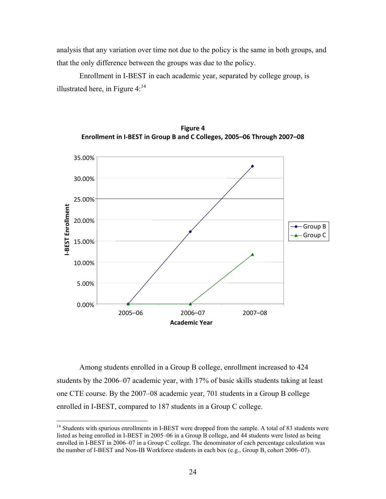analysis that any variation over time not due to the policy is the same in both groups, and that the only difference between the groups was due to the policy.

Enrollment in I-BEST in each academic year, separated by college group, is illustrated here, in Figure  $4$ :<sup>14</sup>





Among students enrolled in a Group B college, enrollment increased to 424 students by the 2006–07 academic year, with 17% of basic skills students taking at least one CTE course. By the 2007–08 academic year, 701 students in a Group B college enrolled in I-BEST, compared to 187 students in a Group C college.

<u>.</u>

<sup>&</sup>lt;sup>14</sup> Students with spurious enrollments in I-BEST were dropped from the sample. A total of 83 students were listed as being enrolled in I-BEST in 2005–06 in a Group B college, and 44 students were listed as being enrolled in I-BEST in 2006–07 in a Group C college. The denominator of each percentage calculation was the number of I-BEST and Non-IB Workforce students in each box (e.g., Group B, cohort 2006–07).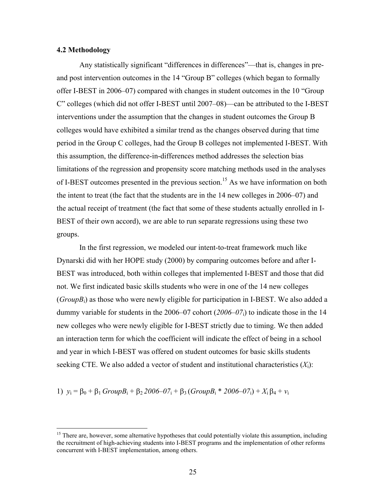### **4.2 Methodology**

 $\overline{a}$ 

Any statistically significant "differences in differences"—that is, changes in preand post intervention outcomes in the 14 "Group B" colleges (which began to formally offer I-BEST in 2006–07) compared with changes in student outcomes in the 10 "Group C" colleges (which did not offer I-BEST until 2007–08)—can be attributed to the I-BEST interventions under the assumption that the changes in student outcomes the Group B colleges would have exhibited a similar trend as the changes observed during that time period in the Group C colleges, had the Group B colleges not implemented I-BEST. With this assumption, the difference-in-differences method addresses the selection bias limitations of the regression and propensity score matching methods used in the analyses of I-BEST outcomes presented in the previous section.<sup>15</sup> As we have information on both the intent to treat (the fact that the students are in the 14 new colleges in 2006–07) and the actual receipt of treatment (the fact that some of these students actually enrolled in I-BEST of their own accord), we are able to run separate regressions using these two groups.

In the first regression, we modeled our intent-to-treat framework much like Dynarski did with her HOPE study (2000) by comparing outcomes before and after I-BEST was introduced, both within colleges that implemented I-BEST and those that did not. We first indicated basic skills students who were in one of the 14 new colleges  $(GroupB_i)$  as those who were newly eligible for participation in I-BEST. We also added a dummy variable for students in the 2006–07 cohort (*2006–07*i) to indicate those in the 14 new colleges who were newly eligible for I-BEST strictly due to timing. We then added an interaction term for which the coefficient will indicate the effect of being in a school and year in which I-BEST was offered on student outcomes for basic skills students seeking CTE. We also added a vector of student and institutional characteristics  $(X_i)$ :

1) 
$$
y_i = \beta_0 + \beta_1 \text{GroupB}_i + \beta_2 \text{2006} - 07_i + \beta_3 (\text{GroupB}_i * \text{2006} - 07_i) + X_i \beta_4 + v_i
$$

<sup>&</sup>lt;sup>15</sup> There are, however, some alternative hypotheses that could potentially violate this assumption, including the recruitment of high-achieving students into I-BEST programs and the implementation of other reforms concurrent with I-BEST implementation, among others.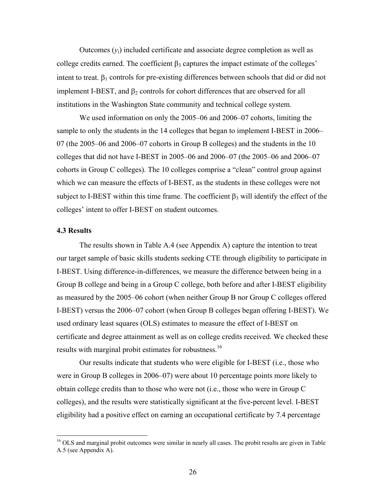Outcomes  $(y_i)$  included certificate and associate degree completion as well as college credits earned. The coefficient  $\beta_3$  captures the impact estimate of the colleges' intent to treat.  $\beta_1$  controls for pre-existing differences between schools that did or did not implement I-BEST, and  $\beta_2$  controls for cohort differences that are observed for all institutions in the Washington State community and technical college system.

We used information on only the 2005–06 and 2006–07 cohorts, limiting the sample to only the students in the 14 colleges that began to implement I-BEST in 2006– 07 (the 2005–06 and 2006–07 cohorts in Group B colleges) and the students in the 10 colleges that did not have I-BEST in 2005–06 and 2006–07 (the 2005–06 and 2006–07 cohorts in Group C colleges). The 10 colleges comprise a "clean" control group against which we can measure the effects of I-BEST, as the students in these colleges were not subject to I-BEST within this time frame. The coefficient  $\beta_3$  will identify the effect of the colleges' intent to offer I-BEST on student outcomes.

### **4.3 Results**

 $\overline{a}$ 

The results shown in Table A.4 (see Appendix A) capture the intention to treat our target sample of basic skills students seeking CTE through eligibility to participate in I-BEST. Using difference-in-differences, we measure the difference between being in a Group B college and being in a Group C college, both before and after I-BEST eligibility as measured by the 2005–06 cohort (when neither Group B nor Group C colleges offered I-BEST) versus the 2006–07 cohort (when Group B colleges began offering I-BEST). We used ordinary least squares (OLS) estimates to measure the effect of I-BEST on certificate and degree attainment as well as on college credits received. We checked these results with marginal probit estimates for robustness.<sup>16</sup>

Our results indicate that students who were eligible for I-BEST (i.e., those who were in Group B colleges in 2006–07) were about 10 percentage points more likely to obtain college credits than to those who were not (i.e., those who were in Group C colleges), and the results were statistically significant at the five-percent level. I-BEST eligibility had a positive effect on earning an occupational certificate by 7.4 percentage

<sup>&</sup>lt;sup>16</sup> OLS and marginal probit outcomes were similar in nearly all cases. The probit results are given in Table A.5 (see Appendix A).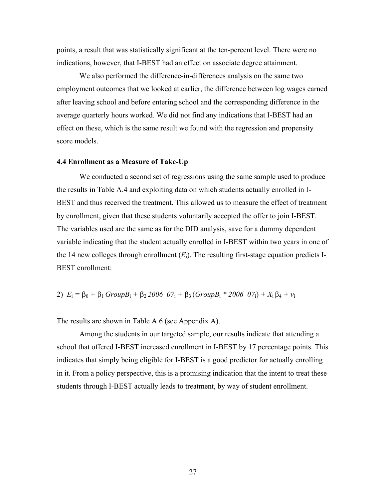points, a result that was statistically significant at the ten-percent level. There were no indications, however, that I-BEST had an effect on associate degree attainment.

We also performed the difference-in-differences analysis on the same two employment outcomes that we looked at earlier, the difference between log wages earned after leaving school and before entering school and the corresponding difference in the average quarterly hours worked. We did not find any indications that I-BEST had an effect on these, which is the same result we found with the regression and propensity score models.

#### **4.4 Enrollment as a Measure of Take-Up**

We conducted a second set of regressions using the same sample used to produce the results in Table A.4 and exploiting data on which students actually enrolled in I-BEST and thus received the treatment. This allowed us to measure the effect of treatment by enrollment, given that these students voluntarily accepted the offer to join I-BEST. The variables used are the same as for the DID analysis, save for a dummy dependent variable indicating that the student actually enrolled in I-BEST within two years in one of the 14 new colleges through enrollment  $(E_i)$ . The resulting first-stage equation predicts I-BEST enrollment:

2) 
$$
E_i = \beta_0 + \beta_1 \text{GroupB}_i + \beta_2 2006 - 07_i + \beta_3 (\text{GroupB}_i * 2006 - 07_i) + X_i \beta_4 + v_i
$$

The results are shown in Table A.6 (see Appendix A).

Among the students in our targeted sample, our results indicate that attending a school that offered I-BEST increased enrollment in I-BEST by 17 percentage points. This indicates that simply being eligible for I-BEST is a good predictor for actually enrolling in it. From a policy perspective, this is a promising indication that the intent to treat these students through I-BEST actually leads to treatment, by way of student enrollment.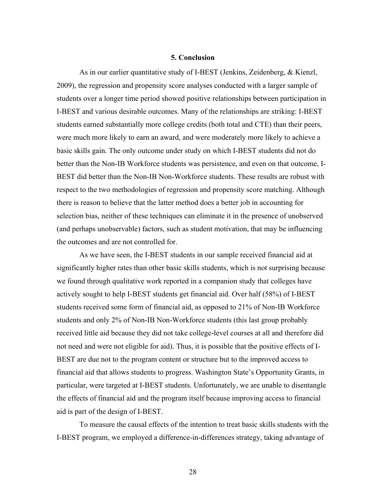#### **5. Conclusion**

As in our earlier quantitative study of I-BEST (Jenkins, Zeidenberg, & Kienzl, 2009), the regression and propensity score analyses conducted with a larger sample of students over a longer time period showed positive relationships between participation in I-BEST and various desirable outcomes. Many of the relationships are striking: I-BEST students earned substantially more college credits (both total and CTE) than their peers, were much more likely to earn an award, and were moderately more likely to achieve a basic skills gain. The only outcome under study on which I-BEST students did not do better than the Non-IB Workforce students was persistence, and even on that outcome, I-BEST did better than the Non-IB Non-Workforce students. These results are robust with respect to the two methodologies of regression and propensity score matching. Although there is reason to believe that the latter method does a better job in accounting for selection bias, neither of these techniques can eliminate it in the presence of unobserved (and perhaps unobservable) factors, such as student motivation, that may be influencing the outcomes and are not controlled for.

As we have seen, the I-BEST students in our sample received financial aid at significantly higher rates than other basic skills students, which is not surprising because we found through qualitative work reported in a companion study that colleges have actively sought to help I-BEST students get financial aid. Over half (58%) of I-BEST students received some form of financial aid, as opposed to 21% of Non-IB Workforce students and only 2% of Non-IB Non-Workforce students (this last group probably received little aid because they did not take college-level courses at all and therefore did not need and were not eligible for aid). Thus, it is possible that the positive effects of I-BEST are due not to the program content or structure but to the improved access to financial aid that allows students to progress. Washington State's Opportunity Grants, in particular, were targeted at I-BEST students. Unfortunately, we are unable to disentangle the effects of financial aid and the program itself because improving access to financial aid is part of the design of I-BEST.

To measure the causal effects of the intention to treat basic skills students with the I-BEST program, we employed a difference-in-differences strategy, taking advantage of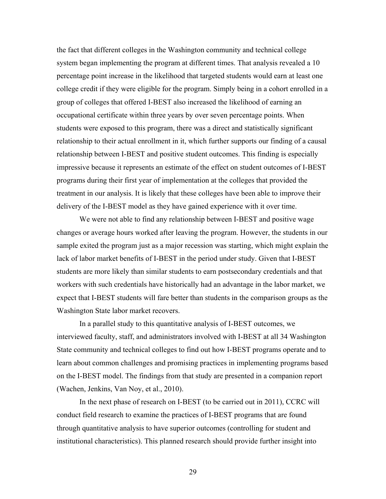the fact that different colleges in the Washington community and technical college system began implementing the program at different times. That analysis revealed a 10 percentage point increase in the likelihood that targeted students would earn at least one college credit if they were eligible for the program. Simply being in a cohort enrolled in a group of colleges that offered I-BEST also increased the likelihood of earning an occupational certificate within three years by over seven percentage points. When students were exposed to this program, there was a direct and statistically significant relationship to their actual enrollment in it, which further supports our finding of a causal relationship between I-BEST and positive student outcomes. This finding is especially impressive because it represents an estimate of the effect on student outcomes of I-BEST programs during their first year of implementation at the colleges that provided the treatment in our analysis. It is likely that these colleges have been able to improve their delivery of the I-BEST model as they have gained experience with it over time.

We were not able to find any relationship between I-BEST and positive wage changes or average hours worked after leaving the program. However, the students in our sample exited the program just as a major recession was starting, which might explain the lack of labor market benefits of I-BEST in the period under study. Given that I-BEST students are more likely than similar students to earn postsecondary credentials and that workers with such credentials have historically had an advantage in the labor market, we expect that I-BEST students will fare better than students in the comparison groups as the Washington State labor market recovers.

In a parallel study to this quantitative analysis of I-BEST outcomes, we interviewed faculty, staff, and administrators involved with I-BEST at all 34 Washington State community and technical colleges to find out how I-BEST programs operate and to learn about common challenges and promising practices in implementing programs based on the I-BEST model. The findings from that study are presented in a companion report (Wachen, Jenkins, Van Noy, et al., 2010).

In the next phase of research on I-BEST (to be carried out in 2011), CCRC will conduct field research to examine the practices of I-BEST programs that are found through quantitative analysis to have superior outcomes (controlling for student and institutional characteristics). This planned research should provide further insight into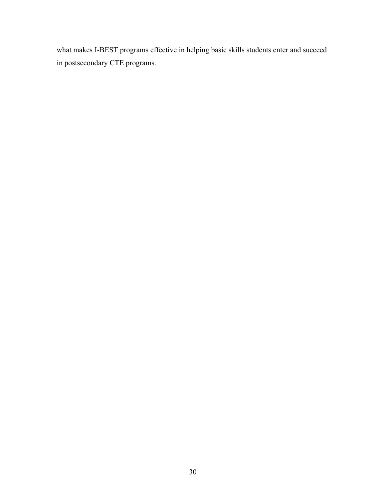what makes I-BEST programs effective in helping basic skills students enter and succeed in postsecondary CTE programs.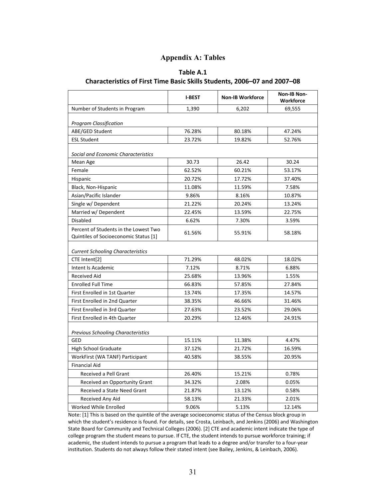## **Appendix A: Tables**

### **Table A.1**

### **Characteristics of First Time Basic Skills Students, 2006–07 and 2007–08**

|                                                                                | <b>I-BEST</b> | <b>Non-IB Workforce</b> | Non-IB Non-<br><b>Workforce</b> |
|--------------------------------------------------------------------------------|---------------|-------------------------|---------------------------------|
| Number of Students in Program                                                  | 1,390         | 6,202                   | 69,555                          |
| <b>Program Classification</b>                                                  |               |                         |                                 |
| ABE/GED Student                                                                | 76.28%        | 80.18%                  | 47.24%                          |
| <b>ESL Student</b>                                                             | 23.72%        | 19.82%                  | 52.76%                          |
| Social and Economic Characteristics                                            |               |                         |                                 |
| Mean Age                                                                       | 30.73         | 26.42                   | 30.24                           |
| Female                                                                         | 62.52%        | 60.21%                  | 53.17%                          |
| Hispanic                                                                       | 20.72%        | 17.72%                  | 37.40%                          |
| Black, Non-Hispanic                                                            | 11.08%        | 11.59%                  | 7.58%                           |
| Asian/Pacific Islander                                                         | 9.86%         | 8.16%                   | 10.87%                          |
| Single w/ Dependent                                                            | 21.22%        | 20.24%                  | 13.24%                          |
| Married w/ Dependent                                                           | 22.45%        | 13.59%                  | 22.75%                          |
| Disabled                                                                       | 6.62%         | 7.30%                   | 3.59%                           |
| Percent of Students in the Lowest Two<br>Quintiles of Socioeconomic Status [1] | 61.56%        | 55.91%                  | 58.18%                          |
| <b>Current Schooling Characteristics</b>                                       |               |                         |                                 |
| CTE Intent <sup>[2]</sup>                                                      | 71.29%        | 48.02%                  | 18.02%                          |
| Intent Is Academic                                                             | 7.12%         | 8.71%                   | 6.88%                           |
| <b>Received Aid</b>                                                            | 25.68%        | 13.96%                  | 1.55%                           |
| <b>Enrolled Full Time</b>                                                      | 66.83%        | 57.85%                  | 27.84%                          |
| First Enrolled in 1st Quarter                                                  | 13.74%        | 17.35%                  | 14.57%                          |
| First Enrolled in 2nd Quarter                                                  | 38.35%        | 46.66%                  | 31.46%                          |
| First Enrolled in 3rd Quarter                                                  | 27.63%        | 23.52%                  | 29.06%                          |
| First Enrolled in 4th Quarter                                                  | 20.29%        | 12.46%                  | 24.91%                          |
| <b>Previous Schooling Characteristics</b>                                      |               |                         |                                 |
| GED                                                                            | 15.11%        | 11.38%                  | 4.47%                           |
| <b>High School Graduate</b>                                                    | 37.12%        | 21.72%                  | 16.59%                          |
| WorkFirst (WA TANF) Participant                                                | 40.58%        | 38.55%                  | 20.95%                          |
| <b>Financial Aid</b>                                                           |               |                         |                                 |
| Received a Pell Grant                                                          | 26.40%        | 15.21%                  | 0.78%                           |
| Received an Opportunity Grant                                                  | 34.32%        | 2.08%                   | 0.05%                           |
| Received a State Need Grant                                                    | 21.87%        | 13.12%                  | 0.58%                           |
| Received Any Aid                                                               | 58.13%        | 21.33%                  | 2.01%                           |
| <b>Worked While Enrolled</b>                                                   | 9.06%         | 5.13%                   | 12.14%                          |

Note: [1] This is based on the quintile of the average socioeconomic status of the Census block group in which the student's residence is found. For details, see Crosta, Leinbach, and Jenkins (2006) and Washington State Board for Community and Technical Colleges (2006). [2] CTE and academic intent indicate the type of college program the student means to pursue. If CTE, the student intends to pursue workforce training; if academic, the student intends to pursue a program that leads to a degree and/or transfer to a four‐year institution. Students do not always follow their stated intent (see Bailey, Jenkins, & Leinbach, 2006).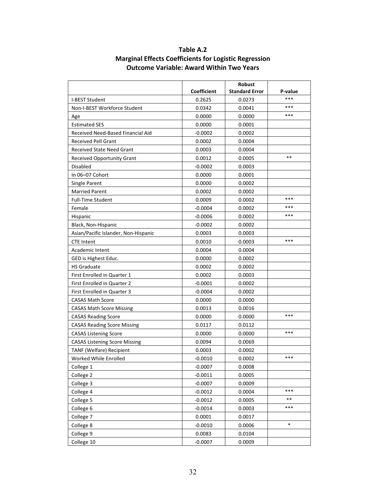|                                      |                    | Robust                |         |
|--------------------------------------|--------------------|-----------------------|---------|
|                                      | <b>Coefficient</b> | <b>Standard Error</b> | P-value |
| <b>I-BEST Student</b>                | 0.2625             | 0.0273                | ***     |
| Non-I-BEST Workforce Student         | 0.0342             | 0.0041                | ***     |
| Age                                  | 0.0000             | 0.0000                | ***     |
| <b>Estimated SES</b>                 | 0.0000             | 0.0001                |         |
| Received Need-Based Financial Aid    | $-0.0002$          | 0.0002                |         |
| <b>Received Pell Grant</b>           | 0.0002             | 0.0004                |         |
| <b>Received State Need Grant</b>     | 0.0003             | 0.0004                |         |
| <b>Received Opportunity Grant</b>    | 0.0012             | 0.0005                | $* *$   |
| Disabled                             | $-0.0002$          | 0.0003                |         |
| In 06-07 Cohort                      | 0.0000             | 0.0001                |         |
| Single Parent                        | 0.0000             | 0.0002                |         |
| <b>Married Parent</b>                | 0.0002             | 0.0002                |         |
| <b>Full-Time Student</b>             | 0.0009             | 0.0002                | ***     |
| Female                               | $-0.0004$          | 0.0002                | ***     |
| Hispanic                             | $-0.0006$          | 0.0002                | ***     |
| Black, Non-Hispanic                  | $-0.0002$          | 0.0002                |         |
| Asian/Pacific Islander, Non-Hispanic | 0.0003             | 0.0003                |         |
| <b>CTE Intent</b>                    | 0.0010             | 0.0003                | ***     |
| Academic Intent                      | 0.0004             | 0.0004                |         |
| GED is Highest Educ.                 | 0.0000             | 0.0002                |         |
| <b>HS Graduate</b>                   | 0.0002             | 0.0002                |         |
| First Enrolled in Quarter 1          | 0.0002             | 0.0003                |         |
| First Enrolled in Quarter 2          | $-0.0001$          | 0.0002                |         |
| First Enrolled in Quarter 3          | $-0.0004$          | 0.0002                |         |
| <b>CASAS Math Score</b>              | 0.0000             | 0.0000                |         |
| <b>CASAS Math Score Missing</b>      | 0.0013             | 0.0016                |         |
| <b>CASAS Reading Score</b>           | 0.0000             | 0.0000                | ***     |
| <b>CASAS Reading Score Missing</b>   | 0.0117             | 0.0112                |         |
| <b>CASAS Listening Score</b>         | 0.0000             | 0.0000                | ***     |
| <b>CASAS Listening Score Missing</b> | 0.0094             | 0.0069                |         |
| <b>TANF (Welfare) Recipient</b>      | 0.0003             | 0.0002                |         |
| Worked While Enrolled                | $-0.0010$          | 0.0002                | ***     |
| College 1                            | $-0.0007$          | 0.0008                |         |
| College 2                            | $-0.0011$          | 0.0005                |         |
| College 3                            | $-0.0007$          | 0.0009                |         |
| College 4                            | $-0.0012$          | 0.0004                | ***     |
| College 5                            | $-0.0012$          | 0.0005                | $***$   |
| College 6                            | $-0.0014$          | 0.0003                | ***     |
| College 7                            | 0.0001             | 0.0017                |         |
| College 8                            | $-0.0010$          | 0.0006                | $\ast$  |
| College 9                            | 0.0083             | 0.0104                |         |
| College 10                           | $-0.0007$          | 0.0009                |         |

# **Table A.2 Marginal Effects Coefficients for Logistic Regression Outcome Variable: Award Within Two Years**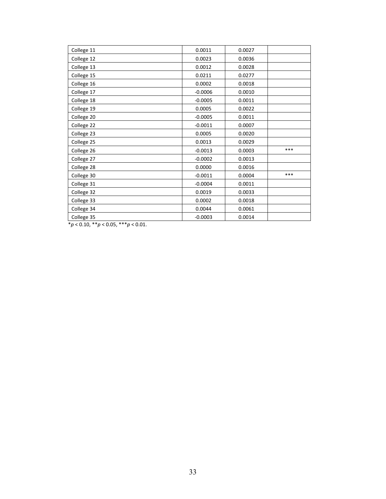| College 11 | 0.0011    | 0.0027 |     |
|------------|-----------|--------|-----|
| College 12 | 0.0023    | 0.0036 |     |
| College 13 | 0.0012    | 0.0028 |     |
| College 15 | 0.0211    | 0.0277 |     |
| College 16 | 0.0002    | 0.0018 |     |
| College 17 | $-0.0006$ | 0.0010 |     |
| College 18 | $-0.0005$ | 0.0011 |     |
| College 19 | 0.0005    | 0.0022 |     |
| College 20 | $-0.0005$ | 0.0011 |     |
| College 22 | $-0.0011$ | 0.0007 |     |
| College 23 | 0.0005    | 0.0020 |     |
| College 25 | 0.0013    | 0.0029 |     |
| College 26 | $-0.0013$ | 0.0003 | *** |
| College 27 | $-0.0002$ | 0.0013 |     |
| College 28 | 0.0000    | 0.0016 |     |
| College 30 | $-0.0011$ | 0.0004 | *** |
| College 31 | $-0.0004$ | 0.0011 |     |
| College 32 | 0.0019    | 0.0033 |     |
| College 33 | 0.0002    | 0.0018 |     |
| College 34 | 0.0044    | 0.0061 |     |
| College 35 | $-0.0003$ | 0.0014 |     |

\**p* < 0.10, \*\**p* < 0.05, \*\*\**p* < 0.01.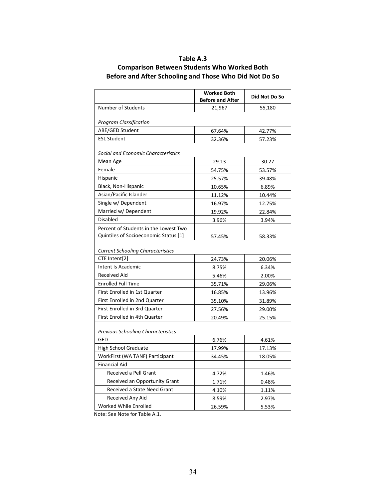### **Table A.3**

## **Comparison Between Students Who Worked Both Before and After Schooling and Those Who Did Not Do So**

|                                                                                                                            | <b>Worked Both</b><br><b>Before and After</b> | Did Not Do So |  |
|----------------------------------------------------------------------------------------------------------------------------|-----------------------------------------------|---------------|--|
| <b>Number of Students</b>                                                                                                  | 21,967                                        | 55,180        |  |
| <b>Program Classification</b>                                                                                              |                                               |               |  |
| ABE/GED Student                                                                                                            | 67.64%                                        | 42.77%        |  |
| <b>ESL Student</b>                                                                                                         | 32.36%                                        | 57.23%        |  |
| Social and Economic Characteristics                                                                                        |                                               |               |  |
| Mean Age                                                                                                                   | 29.13                                         | 30.27         |  |
| Female                                                                                                                     | 54.75%                                        | 53.57%        |  |
| Hispanic                                                                                                                   | 25.57%                                        | 39.48%        |  |
| Black, Non-Hispanic                                                                                                        | 10.65%                                        | 6.89%         |  |
| Asian/Pacific Islander                                                                                                     | 11.12%                                        | 10.44%        |  |
| Single w/ Dependent                                                                                                        | 16.97%                                        | 12.75%        |  |
| Married w/ Dependent                                                                                                       | 19.92%                                        | 22.84%        |  |
| <b>Disabled</b>                                                                                                            | 3.96%                                         | 3.94%         |  |
| Percent of Students in the Lowest Two<br>Quintiles of Socioeconomic Status [1]<br><b>Current Schooling Characteristics</b> | 57.45%                                        | 58.33%        |  |
| CTE Intent[2]                                                                                                              | 24.73%                                        | 20.06%        |  |
| Intent Is Academic                                                                                                         | 8.75%                                         | 6.34%         |  |
| <b>Received Aid</b>                                                                                                        | 5.46%                                         | 2.00%         |  |
| <b>Enrolled Full Time</b>                                                                                                  | 35.71%                                        | 29.06%        |  |
| First Enrolled in 1st Quarter                                                                                              | 16.85%                                        | 13.96%        |  |
| First Enrolled in 2nd Quarter                                                                                              | 35.10%                                        | 31.89%        |  |
| First Enrolled in 3rd Quarter                                                                                              | 27.56%                                        | 29.00%        |  |
| First Enrolled in 4th Quarter                                                                                              | 20.49%                                        | 25.15%        |  |
| <b>Previous Schooling Characteristics</b>                                                                                  |                                               |               |  |
| GED                                                                                                                        | 6.76%                                         | 4.61%         |  |
| <b>High School Graduate</b>                                                                                                | 17.99%                                        | 17.13%        |  |
| WorkFirst (WA TANF) Participant                                                                                            | 34.45%                                        | 18.05%        |  |
| <b>Financial Aid</b>                                                                                                       |                                               |               |  |
| Received a Pell Grant                                                                                                      | 4.72%                                         | 1.46%         |  |
| Received an Opportunity Grant                                                                                              | 1.71%                                         | 0.48%         |  |
| Received a State Need Grant                                                                                                | 4.10%                                         | 1.11%         |  |
| Received Any Aid                                                                                                           | 8.59%                                         | 2.97%         |  |
| Worked While Enrolled                                                                                                      | 26.59%                                        | 5.53%         |  |

Note: See Note for Table A.1.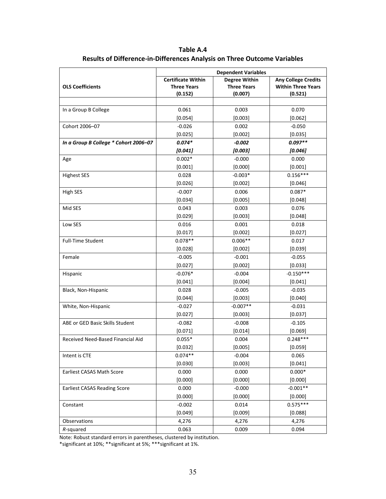**Table A.4 Results of Difference‐in‐Differences Analysis on Three Outcome Variables**

|                                       | <b>Dependent Variables</b> |                      |                            |  |
|---------------------------------------|----------------------------|----------------------|----------------------------|--|
|                                       | <b>Certificate Within</b>  | <b>Degree Within</b> | <b>Any College Credits</b> |  |
| <b>OLS Coefficients</b>               | <b>Three Years</b>         | <b>Three Years</b>   | <b>Within Three Years</b>  |  |
|                                       | (0.152)                    | (0.007)              | (0.521)                    |  |
|                                       |                            |                      |                            |  |
| In a Group B College                  | 0.061                      | 0.003                | 0.070                      |  |
|                                       | [0.054]                    | [0.003]              | [0.062]                    |  |
| Cohort 2006-07                        | $-0.026$                   | 0.002                | $-0.050$                   |  |
|                                       | [0.025]                    | [0.002]              | [0.035]                    |  |
| In a Group B College * Cohort 2006-07 | $0.074*$                   | $-0.002$             | $0.097**$                  |  |
|                                       | [0.041]                    | [0.003]              | [0.046]                    |  |
| Age                                   | $0.002*$                   | $-0.000$             | 0.000                      |  |
|                                       | [0.001]                    | [0.000]              | [0.001]                    |  |
| <b>Highest SES</b>                    | 0.028                      | $-0.003*$            | $0.156***$                 |  |
|                                       | [0.026]                    | [0.002]              | [0.046]                    |  |
| High SES                              | $-0.007$                   | 0.006                | $0.087*$                   |  |
|                                       | [0.034]                    | [0.005]              | [0.048]                    |  |
| Mid SES                               | 0.043                      | 0.003                | 0.076                      |  |
|                                       | [0.029]                    | [0.003]              | [0.048]                    |  |
| Low SES                               | 0.016                      | 0.001                | 0.018                      |  |
|                                       | [0.017]                    | [0.002]              | [0.027]                    |  |
| <b>Full-Time Student</b>              | $0.078**$                  | $0.006**$            | 0.017                      |  |
|                                       | [0.028]                    | [0.002]              | [0.039]                    |  |
| Female                                | $-0.005$                   | $-0.001$             | $-0.055$                   |  |
|                                       | [0.027]                    | [0.002]              | [0.033]                    |  |
| Hispanic                              | $-0.076*$                  | $-0.004$             | $-0.150***$                |  |
|                                       | [0.041]                    | [0.004]              | [0.041]                    |  |
| Black, Non-Hispanic                   | 0.028                      | $-0.005$             | $-0.035$                   |  |
|                                       | [0.044]                    | [0.003]              | [0.040]                    |  |
| White, Non-Hispanic                   | $-0.027$                   | $-0.007**$           | $-0.031$                   |  |
|                                       | [0.027]                    | [0.003]              | [0.037]                    |  |
| ABE or GED Basic Skills Student       | $-0.082$                   | $-0.008$             | $-0.105$                   |  |
|                                       | [0.071]                    | [0.014]              | [0.069]                    |  |
| Received Need-Based Financial Aid     | $0.055*$                   | 0.004                | $0.248***$                 |  |
|                                       | [0.032]                    | [0.005]              | [0.059]                    |  |
| Intent is CTE                         | $0.074**$                  | $-0.004$             | 0.065                      |  |
|                                       | [0.030]                    | [0.003]              | [0.041]                    |  |
| Earliest CASAS Math Score             | 0.000                      | 0.000                | $0.000*$                   |  |
|                                       | [0.000]                    | [0.000]              | [0.000]                    |  |
| <b>Earliest CASAS Reading Score</b>   | 0.000                      | $-0.000$             | $-0.001**$                 |  |
|                                       | [0.000]                    | [0.000]              | [0.000]                    |  |
| Constant                              | $-0.002$                   | 0.014                | $0.575***$                 |  |
|                                       | [0.049]                    | [0.009]              | [0.088]                    |  |
| Observations                          | 4,276                      | 4,276                | 4,276                      |  |
| R-squared                             | 0.063                      | 0.009                | 0.094                      |  |

Note: Robust standard errors in parentheses, clustered by institution.

\*significant at 10%; \*\*significant at 5%; \*\*\*significant at 1%.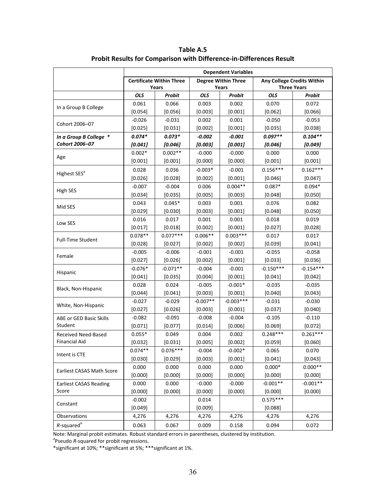|                                  | <b>Dependent Variables</b>                                    |            |            |                            |             |                    |
|----------------------------------|---------------------------------------------------------------|------------|------------|----------------------------|-------------|--------------------|
|                                  | <b>Degree Within Three</b><br><b>Certificate Within Three</b> |            |            | Any College Credits Within |             |                    |
|                                  | Years                                                         |            |            | Years                      |             | <b>Three Years</b> |
|                                  | <b>OLS</b>                                                    | Probit     | <b>OLS</b> | <b>Probit</b>              | <b>OLS</b>  | <b>Probit</b>      |
| In a Group B College             | 0.061                                                         | 0.066      | 0.003      | 0.002                      | 0.070       | 0.072              |
|                                  | [0.054]                                                       | [0.056]    | [0.003]    | [0.001]                    | [0.062]     | [0.066]            |
| Cohort 2006-07                   | $-0.026$                                                      | $-0.031$   | 0.002      | 0.001                      | $-0.050$    | $-0.053$           |
|                                  | [0.025]                                                       | [0.031]    | [0.002]    | [0.001]                    | [0.035]     | [0.038]            |
| In a Group B College *           | $0.074*$                                                      | $0.073*$   | $-0.002$   | $-0.001$                   | $0.097**$   | $0.104**$          |
| Cohort 2006-07                   | [0.041]                                                       | [0.046]    | [0.003]    | [0.001]                    | [0.046]     | [0.049]            |
| Age                              | $0.002*$                                                      | $0.002**$  | $-0.000$   | $-0.000$                   | 0.000       | 0.000              |
|                                  | [0.001]                                                       | [0.001]    | [0.000]    | [0.000]                    | [0.001]     | [0.001]            |
|                                  | 0.028                                                         | 0.036      | $-0.003*$  | $-0.001$                   | $0.156***$  | $0.162***$         |
| Highest SES <sup>a</sup>         | [0.026]                                                       | [0.028]    | [0.002]    | [0.001]                    | [0.046]     | [0.047]            |
|                                  | $-0.007$                                                      | $-0.004$   | 0.006      | $0.004**$                  | $0.087*$    | $0.094*$           |
| High SES                         | [0.034]                                                       | [0.035]    | [0.005]    | [0.003]                    | [0.048]     | [0.050]            |
|                                  | 0.043                                                         | $0.045*$   | 0.003      | 0.001                      | 0.076       | 0.082              |
| Mid SES                          | [0.029]                                                       | [0.030]    | [0.003]    | [0.001]                    | [0.048]     | [0.050]            |
|                                  | 0.016                                                         | 0.017      | 0.001      | 0.001                      | 0.018       | 0.019              |
| Low SES                          | [0.017]                                                       | [0.018]    | [0.002]    | [0.001]                    | [0.027]     | [0.028]            |
|                                  | $0.078**$                                                     | $0.077***$ | $0.006**$  | $0.003***$                 | 0.017       | 0.017              |
| <b>Full-Time Student</b>         | [0.028]                                                       | [0.027]    | [0.002]    | [0.002]                    | [0.039]     | [0.041]            |
|                                  | $-0.005$                                                      | $-0.006$   | $-0.001$   | $-0.001$                   | $-0.055$    | $-0.058$           |
| Female                           | [0.027]                                                       | [0.026]    | [0.002]    | [0.001]                    | [0.033]     | [0.036]            |
|                                  | $-0.076*$                                                     | $-0.071**$ | $-0.004$   | $-0.001$                   | $-0.150***$ | $-0.154***$        |
| Hispanic                         | [0.041]                                                       | [0.035]    | [0.004]    | [0.001]                    | [0.041]     | [0.042]            |
|                                  | 0.028                                                         | 0.024      | $-0.005$   | $-0.001*$                  | $-0.035$    | $-0.035$           |
| Black, Non-Hispanic              | [0.044]                                                       | [0.041]    | [0.003]    | [0.001]                    | [0.040]     | [0.043]            |
| White, Non-Hispanic              | $-0.027$                                                      | $-0.029$   | $-0.007**$ | $-0.003***$                | $-0.031$    | $-0.030$           |
|                                  | [0.027]                                                       | [0.026]    | [0.003]    | [0.001]                    | [0.037]     | [0.040]            |
| ABE or GED Basic Skills          | $-0.082$                                                      | $-0.091$   | $-0.008$   | $-0.004$                   | $-0.105$    | $-0.110$           |
| Student                          | [0.071]                                                       | [0.077]    | [0.014]    | [0.006]                    | [0.069]     | [0.072]            |
| Received Need-Based              | $0.055*$                                                      | 0.049      | 0.004      | 0.002                      | $0.248***$  | $0.261***$         |
| <b>Financial Aid</b>             | [0.032]                                                       | [0.031]    | [0.005]    | [0.002]                    | [0.059]     | [0.060]            |
| Intent is CTE                    | $0.074**$                                                     | $0.076***$ | $-0.004$   | $-0.002*$                  | 0.065       | 0.070              |
|                                  | [0.030]                                                       | [0.029]    | [0.003]    | [0.001]                    | [0.041]     | [0.043]            |
| <b>Earliest CASAS Math Score</b> | 0.000                                                         | 0.000      | 0.000      | 0.000                      | $0.000*$    | $0.000**$          |
|                                  | [0.000]                                                       | [0.000]    | [0.000]    | [0.000]                    | [0.000]     | [0.000]            |
| <b>Earliest CASAS Reading</b>    | 0.000                                                         | 0.000      | $-0.000$   | $-0.000$                   | $-0.001**$  | $-0.001**$         |
| Score                            | [0.000]                                                       | [0.000]    | [0.000]    | [0.000]                    | [0.000]     | [0.000]            |
|                                  | $-0.002$                                                      |            | 0.014      |                            | $0.575***$  |                    |
| Constant                         | [0.049]                                                       |            | [0.009]    |                            | [0.088]     |                    |
| Observations                     | 4,276                                                         | 4,276      | 4,276      | 4,276                      | 4,276       | 4,276              |
| $R$ -squared <sup>a</sup>        | 0.063                                                         | 0.067      | 0.009      | 0.158                      | 0.094       | 0.072              |

**Table A.5 Probit Results for Comparison with Difference‐in‐Differences Result**

Note: Marginal probit estimates. Robust standard errors in parentheses, clustered by institution.<br><sup>a</sup>Pseudo *R*-squared for probit regressions.

\*significant at 10%; \*\*significant at 5%; \*\*\*significant at 1%.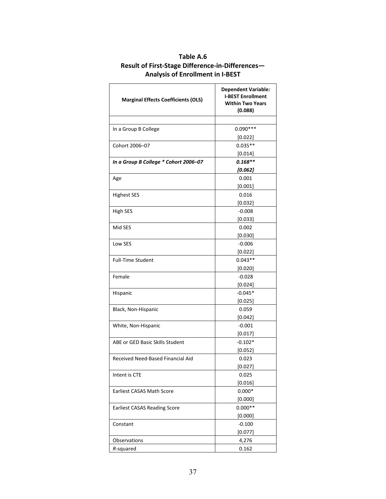| <b>Marginal Effects Coefficients (OLS)</b> | <b>Dependent Variable:</b><br><b>I-BEST Enrollment</b><br><b>Within Two Years</b><br>(0.088) |  |  |
|--------------------------------------------|----------------------------------------------------------------------------------------------|--|--|
|                                            |                                                                                              |  |  |
| In a Group B College                       | $0.090***$                                                                                   |  |  |
|                                            | [0.022]                                                                                      |  |  |
| Cohort 2006-07                             | $0.035**$                                                                                    |  |  |
|                                            | [0.014]                                                                                      |  |  |
| In a Group B College * Cohort 2006-07      | $0.168**$                                                                                    |  |  |
|                                            | [0.062]                                                                                      |  |  |
| Age                                        | 0.001                                                                                        |  |  |
|                                            | [0.001]                                                                                      |  |  |
| <b>Highest SES</b>                         | 0.016                                                                                        |  |  |
|                                            | [0.032]                                                                                      |  |  |
| High SES                                   | $-0.008$                                                                                     |  |  |
|                                            | [0.033]                                                                                      |  |  |
| Mid SES                                    | 0.002                                                                                        |  |  |
|                                            | [0.030]                                                                                      |  |  |
| Low SES                                    | $-0.006$                                                                                     |  |  |
|                                            | [0.022]                                                                                      |  |  |
| <b>Full-Time Student</b>                   | $0.043**$                                                                                    |  |  |
|                                            | [0.020]                                                                                      |  |  |
| Female                                     | $-0.028$                                                                                     |  |  |
|                                            | [0.024]                                                                                      |  |  |
| Hispanic                                   | $-0.045*$                                                                                    |  |  |
|                                            | [0.025]                                                                                      |  |  |
| Black, Non-Hispanic                        | 0.059                                                                                        |  |  |
|                                            | [0.042]                                                                                      |  |  |
| White, Non-Hispanic                        | $-0.001$                                                                                     |  |  |
|                                            | [0.017]                                                                                      |  |  |
| ABE or GED Basic Skills Student            | $-0.102*$                                                                                    |  |  |
|                                            | [0.052]                                                                                      |  |  |
| Received Need-Based Financial Aid          | 0.023                                                                                        |  |  |
|                                            | [0.027]                                                                                      |  |  |
| Intent is CTE                              | 0.025                                                                                        |  |  |
|                                            | [0.016]                                                                                      |  |  |
| <b>Earliest CASAS Math Score</b>           | $0.000*$                                                                                     |  |  |
|                                            | [0.000]                                                                                      |  |  |
| <b>Earliest CASAS Reading Score</b>        | $0.000**$                                                                                    |  |  |
|                                            | [0.000]                                                                                      |  |  |
| Constant                                   | $-0.100$                                                                                     |  |  |
|                                            | [0.077]                                                                                      |  |  |
| Observations                               | 4,276                                                                                        |  |  |
| R-squared                                  | 0.162                                                                                        |  |  |

# **Table A.6 Result of First‐Stage Difference‐in‐Differences— Analysis of Enrollment in I‐BEST**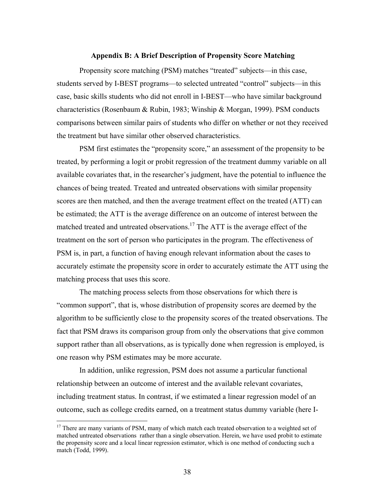#### **Appendix B: A Brief Description of Propensity Score Matching**

Propensity score matching (PSM) matches "treated" subjects—in this case, students served by I-BEST programs—to selected untreated "control" subjects—in this case, basic skills students who did not enroll in I-BEST—who have similar background characteristics (Rosenbaum & Rubin, 1983; Winship & Morgan, 1999). PSM conducts comparisons between similar pairs of students who differ on whether or not they received the treatment but have similar other observed characteristics.

PSM first estimates the "propensity score," an assessment of the propensity to be treated, by performing a logit or probit regression of the treatment dummy variable on all available covariates that, in the researcher's judgment, have the potential to influence the chances of being treated. Treated and untreated observations with similar propensity scores are then matched, and then the average treatment effect on the treated (ATT) can be estimated; the ATT is the average difference on an outcome of interest between the matched treated and untreated observations.<sup>17</sup> The ATT is the average effect of the treatment on the sort of person who participates in the program. The effectiveness of PSM is, in part, a function of having enough relevant information about the cases to accurately estimate the propensity score in order to accurately estimate the ATT using the matching process that uses this score.

The matching process selects from those observations for which there is "common support", that is, whose distribution of propensity scores are deemed by the algorithm to be sufficiently close to the propensity scores of the treated observations. The fact that PSM draws its comparison group from only the observations that give common support rather than all observations, as is typically done when regression is employed, is one reason why PSM estimates may be more accurate.

In addition, unlike regression, PSM does not assume a particular functional relationship between an outcome of interest and the available relevant covariates, including treatment status. In contrast, if we estimated a linear regression model of an outcome, such as college credits earned, on a treatment status dummy variable (here I-

 $\overline{a}$ 

<sup>&</sup>lt;sup>17</sup> There are many variants of PSM, many of which match each treated observation to a weighted set of matched untreated observations rather than a single observation. Herein, we have used probit to estimate the propensity score and a local linear regression estimator, which is one method of conducting such a match (Todd, 1999).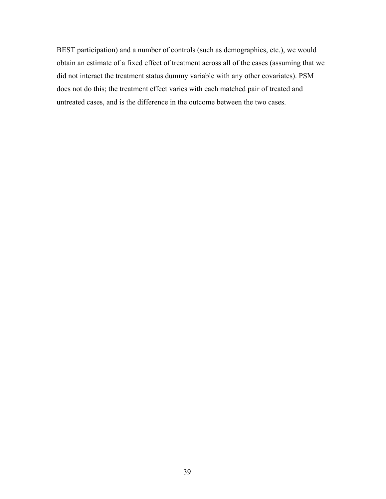BEST participation) and a number of controls (such as demographics, etc.), we would obtain an estimate of a fixed effect of treatment across all of the cases (assuming that we did not interact the treatment status dummy variable with any other covariates). PSM does not do this; the treatment effect varies with each matched pair of treated and untreated cases, and is the difference in the outcome between the two cases.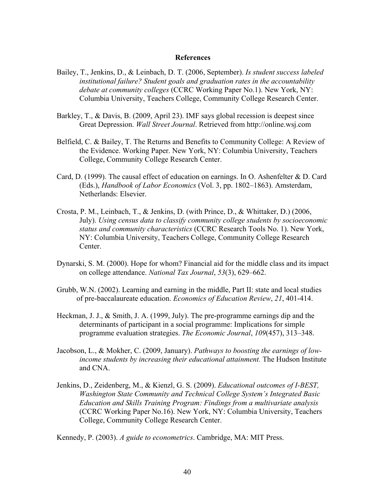### **References**

- Bailey, T., Jenkins, D., & Leinbach, D. T. (2006, September). *Is student success labeled institutional failure? Student goals and graduation rates in the accountability debate at community colleges* (CCRC Working Paper No.1). New York, NY: Columbia University, Teachers College, Community College Research Center.
- Barkley, T., & Davis, B. (2009, April 23). IMF says global recession is deepest since Great Depression. *Wall Street Journal*. Retrieved from http://online.wsj.com
- Belfield, C. & Bailey, T. The Returns and Benefits to Community College: A Review of the Evidence. Working Paper. New York, NY: Columbia University, Teachers College, Community College Research Center.
- Card, D. (1999). The causal effect of education on earnings. In O. Ashenfelter & D. Card (Eds.), *Handbook of Labor Economics* (Vol. 3, pp. 1802–1863). Amsterdam, Netherlands: Elsevier.
- Crosta, P. M., Leinbach, T., & Jenkins, D. (with Prince, D., & Whittaker, D.) (2006, July). *Using census data to classify community college students by socioeconomic status and community characteristics* (CCRC Research Tools No. 1). New York, NY: Columbia University, Teachers College, Community College Research Center.
- Dynarski, S. M. (2000). Hope for whom? Financial aid for the middle class and its impact on college attendance. *National Tax Journal*, *53*(3), 629–662.
- Grubb, W.N. (2002). Learning and earning in the middle, Part II: state and local studies of pre-baccalaureate education. *Economics of Education Review*, *21*, 401-414.
- Heckman, J. J., & Smith, J. A. (1999, July). The pre-programme earnings dip and the determinants of participant in a social programme: Implications for simple programme evaluation strategies. *The Economic Journal*, *109*(457), 313–348.
- Jacobson, L., & Mokher, C. (2009, January). *Pathways to boosting the earnings of lowincome students by increasing their educational attainment.* The Hudson Institute and CNA.
- Jenkins, D., Zeidenberg, M., & Kienzl, G. S. (2009). *Educational outcomes of I-BEST, Washington State Community and Technical College System's Integrated Basic Education and Skills Training Program: Findings from a multivariate analysis* (CCRC Working Paper No.16). New York, NY: Columbia University, Teachers College, Community College Research Center.

Kennedy, P. (2003). *A guide to econometrics*. Cambridge, MA: MIT Press.